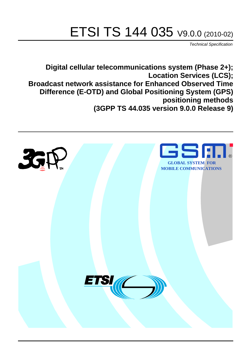# ETSI TS 144 035 V9.0.0 (2010-02)

*Technical Specification*

**Digital cellular telecommunications system (Phase 2+); Location Services (LCS); Broadcast network assistance for Enhanced Observed Time Difference (E-OTD) and Global Positioning System (GPS) positioning methods (3GPP TS 44.035 version 9.0.0 Release 9)**

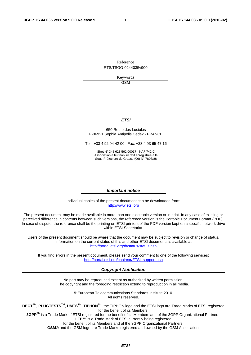Reference RTS/TSGG-0244035v900

> Keywords GSM

### *ETSI*

#### 650 Route des Lucioles F-06921 Sophia Antipolis Cedex - FRANCE

Tel.: +33 4 92 94 42 00 Fax: +33 4 93 65 47 16

Siret N° 348 623 562 00017 - NAF 742 C Association à but non lucratif enregistrée à la Sous-Préfecture de Grasse (06) N° 7803/88

#### *Important notice*

Individual copies of the present document can be downloaded from: [http://www.etsi.org](http://www.etsi.org/)

The present document may be made available in more than one electronic version or in print. In any case of existing or perceived difference in contents between such versions, the reference version is the Portable Document Format (PDF). In case of dispute, the reference shall be the printing on ETSI printers of the PDF version kept on a specific network drive within ETSI Secretariat.

Users of the present document should be aware that the document may be subject to revision or change of status. Information on the current status of this and other ETSI documents is available at <http://portal.etsi.org/tb/status/status.asp>

If you find errors in the present document, please send your comment to one of the following services: [http://portal.etsi.org/chaircor/ETSI\\_support.asp](http://portal.etsi.org/chaircor/ETSI_support.asp)

#### *Copyright Notification*

No part may be reproduced except as authorized by written permission. The copyright and the foregoing restriction extend to reproduction in all media.

> © European Telecommunications Standards Institute 2010. All rights reserved.

**DECT**TM, **PLUGTESTS**TM, **UMTS**TM, **TIPHON**TM, the TIPHON logo and the ETSI logo are Trade Marks of ETSI registered for the benefit of its Members.

**3GPP**TM is a Trade Mark of ETSI registered for the benefit of its Members and of the 3GPP Organizational Partners. **LTE**™ is a Trade Mark of ETSI currently being registered

for the benefit of its Members and of the 3GPP Organizational Partners.

**GSM**® and the GSM logo are Trade Marks registered and owned by the GSM Association.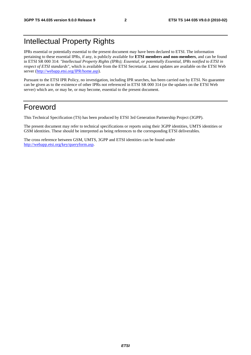# Intellectual Property Rights

IPRs essential or potentially essential to the present document may have been declared to ETSI. The information pertaining to these essential IPRs, if any, is publicly available for **ETSI members and non-members**, and can be found in ETSI SR 000 314: *"Intellectual Property Rights (IPRs); Essential, or potentially Essential, IPRs notified to ETSI in respect of ETSI standards"*, which is available from the ETSI Secretariat. Latest updates are available on the ETSI Web server [\(http://webapp.etsi.org/IPR/home.asp](http://webapp.etsi.org/IPR/home.asp)).

Pursuant to the ETSI IPR Policy, no investigation, including IPR searches, has been carried out by ETSI. No guarantee can be given as to the existence of other IPRs not referenced in ETSI SR 000 314 (or the updates on the ETSI Web server) which are, or may be, or may become, essential to the present document.

# Foreword

This Technical Specification (TS) has been produced by ETSI 3rd Generation Partnership Project (3GPP).

The present document may refer to technical specifications or reports using their 3GPP identities, UMTS identities or GSM identities. These should be interpreted as being references to the corresponding ETSI deliverables.

The cross reference between GSM, UMTS, 3GPP and ETSI identities can be found under [http://webapp.etsi.org/key/queryform.asp.](http://webapp.etsi.org/key/queryform.asp)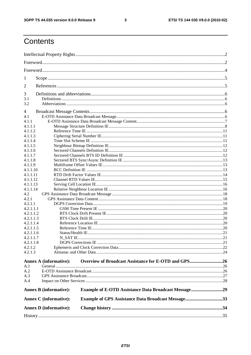$\mathbf{3}$ 

# Contents

| 1                             |                                                             |  |
|-------------------------------|-------------------------------------------------------------|--|
| 2                             |                                                             |  |
|                               |                                                             |  |
| 3<br>3.1                      |                                                             |  |
| 3.2                           |                                                             |  |
| 4                             |                                                             |  |
| 4.1                           |                                                             |  |
| 4.1.1                         |                                                             |  |
| 4.1.1.1                       |                                                             |  |
| 4.1.1.2                       |                                                             |  |
| 4.1.1.3                       |                                                             |  |
| 4.1.1.4                       |                                                             |  |
| 4.1.1.5                       |                                                             |  |
| 4.1.1.6                       |                                                             |  |
| 4.1.1.7                       |                                                             |  |
| 4.1.1.8                       |                                                             |  |
| 4.1.1.9                       |                                                             |  |
| 4.1.1.10                      |                                                             |  |
| 4.1.1.11                      |                                                             |  |
| 4.1.1.12                      |                                                             |  |
| 4.1.1.13                      |                                                             |  |
| 4.1.1.14                      |                                                             |  |
| 4.2                           |                                                             |  |
| 4.2.1                         |                                                             |  |
| 4.2.1.1                       |                                                             |  |
| 4.2.1.1.1                     |                                                             |  |
| 4.2.1.1.2                     |                                                             |  |
| 4.2.1.1.3                     |                                                             |  |
| 4.2.1.1.4                     |                                                             |  |
| 4.2.1.1.5                     |                                                             |  |
| 4.2.1.1.6                     |                                                             |  |
| 4.2.1.1.7                     |                                                             |  |
| 4.2.1.1.8                     |                                                             |  |
| 4.2.1.2                       |                                                             |  |
| 4.2.1.3                       |                                                             |  |
| <b>Annex A (informative):</b> | Overview of Broadcast Assistance for E-OTD and GPS26        |  |
| A.1                           |                                                             |  |
| A.2                           |                                                             |  |
| A.3                           |                                                             |  |
| A.4                           |                                                             |  |
| <b>Annex B</b> (informative): | <b>Example of E-OTD Assistance Data Broadcast Message29</b> |  |
| <b>Annex C</b> (informative): | <b>Example of GPS Assistance Data Broadcast Message33</b>   |  |
| <b>Annex D</b> (informative): |                                                             |  |
|                               |                                                             |  |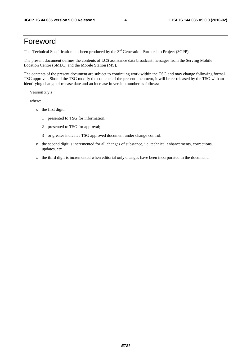# Foreword

This Technical Specification has been produced by the 3<sup>rd</sup> Generation Partnership Project (3GPP).

The present document defines the contents of LCS assistance data broadcast messages from the Serving Mobile Location Centre (SMLC) and the Mobile Station (MS).

The contents of the present document are subject to continuing work within the TSG and may change following formal TSG approval. Should the TSG modify the contents of the present document, it will be re-released by the TSG with an identifying change of release date and an increase in version number as follows:

Version x.y.z

where:

- x the first digit:
	- 1 presented to TSG for information;
	- 2 presented to TSG for approval;
	- 3 or greater indicates TSG approved document under change control.
- y the second digit is incremented for all changes of substance, i.e. technical enhancements, corrections, updates, etc.
- z the third digit is incremented when editorial only changes have been incorporated in the document.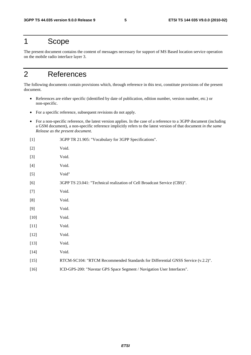# 1 Scope

The present document contains the content of messages necessary for support of MS Based location service operation on the mobile radio interface layer 3.

# 2 References

The following documents contain provisions which, through reference in this text, constitute provisions of the present document.

- References are either specific (identified by date of publication, edition number, version number, etc.) or non-specific.
- For a specific reference, subsequent revisions do not apply.
- For a non-specific reference, the latest version applies. In the case of a reference to a 3GPP document (including a GSM document), a non-specific reference implicitly refers to the latest version of that document *in the same Release as the present document*.

| $[1]$  | 3GPP TR 21.905: "Vocabulary for 3GPP Specifications".                           |
|--------|---------------------------------------------------------------------------------|
| $[2]$  | Void.                                                                           |
| $[3]$  | Void.                                                                           |
| $[4]$  | Void.                                                                           |
| $[5]$  | Void"                                                                           |
| [6]    | 3GPP TS 23.041: "Technical realization of Cell Broadcast Service (CBS)".        |
| $[7]$  | Void.                                                                           |
| [8]    | Void.                                                                           |
| [9]    | Void.                                                                           |
| $[10]$ | Void.                                                                           |
| $[11]$ | Void.                                                                           |
| $[12]$ | Void.                                                                           |
| $[13]$ | Void.                                                                           |
| $[14]$ | Void.                                                                           |
| $[15]$ | RTCM-SC104: "RTCM Recommended Standards for Differential GNSS Service (v.2.2)". |
| $[16]$ | ICD-GPS-200: "Navstar GPS Space Segment / Navigation User Interfaces".          |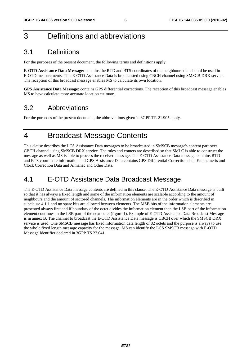# 3 Definitions and abbreviations

# 3.1 Definitions

For the purposes of the present document, the following terms and definitions apply:

**E-OTD Assistance Data Message:** contains the RTD and BTS coordinates of the neighbours that should be used in E-OTD measurements. This E-OTD Assistance Data is broadcasted using CBCH channel using SMSCB DRX service. The reception of this broadcast message enables MS to calculate its own location.

**GPS Assistance Data Message:** contains GPS differential corrections. The reception of this broadcast message enables MS to have calculate more accurate location estimate.

# 3.2 Abbreviations

For the purposes of the present document, the abbreviations given in 3GPP TR 21.905 apply.

# 4 Broadcast Message Contents

This clause describes the LCS Assistance Data messages to be broadcasted in SMSCB message's content part over CBCH channel using SMSCB DRX service. The rules and contets are described so that SMLC is able to construct the message as well as MS is able to process the received message. The E-OTD Assistance Data message contains RTD and BTS coordinate information and GPS Assistance Data contains GPS Differential Correction data, Emphemeris and Clock Correction Data and Almanac and Other Data.

# 4.1 E-OTD Assistance Data Broadcast Message

The E-OTD Assistance Data message contents are defined in this clause. The E-OTD Assistance Data message is built so that it has always a fixed length and some of the information elements are scalable according to the amount of neighbours and the amount of sectored channels. The information elements are in the order which is described in subclause 4.1.1 and no spare bits are allowed between elements. The MSB bits of the information elements are presented always first and if boundary of the octet divides the information element then the LSB part of the information element continues in the LSB part of the next octet (figure 1). Example of E-OTD Assistance Data Broadcast Message is in annex B. The channel to broadcast the E-OTD Assistance Data message is CBCH over which the SMSCB DRX service is used. One SMSCB message has fixed information data length of 82 octets and the purpose is always to use the whole fixed length message capacity for the message. MS can identify the LCS SMSCB message with E-OTD Message Identifier declared in 3GPP TS 23.041.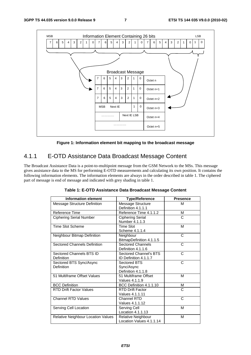

**Figure 1: Information element bit mapping to the broadcast message** 

# 4.1.1 E-OTD Assistance Data Broadcast Message Content

The Broadcast Assistance Data is a point-to-multipoint message from the GSM Network to the MSs. This message gives assistance data to the MS for performing E-OTD measurements and calculating its own position. It contains the following information elements. The information elements are always in the order described in table 1. The ciphered part of message is end of message and indicated with grey shading in table 1.

| <b>Information element</b>             | <b>Type/Reference</b>                            | <b>Presence</b> |
|----------------------------------------|--------------------------------------------------|-----------------|
| Message Structure Definition           | Message Structure<br>Definition 4.1.1.1          | M               |
| Reference Time                         | Reference Time 4.1.1.2                           | м               |
| <b>Ciphering Serial Number</b>         | <b>Ciphering Serial</b><br>Number 4.1.1.3        | C               |
| <b>Time Slot Scheme</b>                | <b>Time Slot</b><br>Scheme 4.1.1.4               | М               |
| Neighbour Bitmap Definition            | Neighbour<br>BitmapDefinition 4.1.1.5            | C               |
| <b>Sectored Channels Definition</b>    | <b>Sectored Channels</b><br>Definition 4.1.1.6   | C               |
| Sectored Channels BTS ID<br>Definition | Sectored Channel's BTS<br>ID Definition 4.1.1.7  | C               |
| Sectored BTS Sync/Async<br>Definition  | Sectored BTS<br>Sync/Async<br>Definition 4.1.1.8 | C               |
| 51 Multiframe Offset Values            | 51 Multiframe Offset<br>Values 4.1.1.9           | M               |
| <b>BCC Definition</b>                  | BCC Definition 4.1.1.10                          | М               |
| <b>RTD Drift Factor Values</b>         | <b>RTD Drift Factor</b><br>Values 4.1.1.11       | C               |
| <b>Channel RTD Values</b>              | Channel RTD<br>Values 4.1.1.12                   | C               |
| Serving Cell Location                  | Serving Cell<br>Location 4.1.1.13                | M               |
| Relative Neighbour Location Values     | Relative Neighbour<br>Location Values 4.1.1.14   | М               |

**Table 1: E-OTD Assistance Data Broadcast Message Content**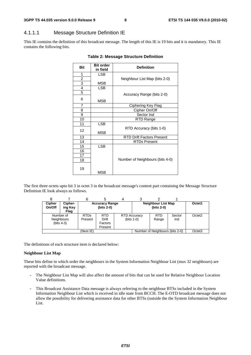# 4.1.1.1 Message Structure Definition IE

This IE contains the definition of this broadcast message. The length of this IE is 19 bits and it is mandatory. This IE contains the following bits.

| <b>Bit</b>     | <b>Bit order</b><br>in field | <b>Definition</b>                |  |  |  |
|----------------|------------------------------|----------------------------------|--|--|--|
| 1              | <b>LSB</b>                   |                                  |  |  |  |
| $\overline{2}$ |                              | Neighbour List Map (bits 2-0)    |  |  |  |
| 3              | <b>MSB</b>                   |                                  |  |  |  |
| $\overline{4}$ | <b>LSB</b>                   |                                  |  |  |  |
| 5              |                              | Accuracy Range (bits 2-0)        |  |  |  |
| 6              | MSB                          |                                  |  |  |  |
| $\overline{7}$ |                              | Ciphering Key Flag               |  |  |  |
| 8              |                              | Cipher On/Off                    |  |  |  |
| 9              |                              | Sector Ind                       |  |  |  |
| 10             |                              | RTD Range                        |  |  |  |
| 11             | <b>LSB</b>                   |                                  |  |  |  |
| 12             | <b>MSB</b>                   | RTD Accuracy (bits 1-0)          |  |  |  |
| 13             |                              | <b>RTD Drift Factors Present</b> |  |  |  |
| 14             |                              | <b>RTDs Present</b>              |  |  |  |
| 15             | <b>LSB</b>                   |                                  |  |  |  |
| 16             |                              |                                  |  |  |  |
| 17             |                              |                                  |  |  |  |
| 18             |                              | Number of Neighbours (bits 4-0)  |  |  |  |
| 19             | MSB                          |                                  |  |  |  |

#### **Table 2: Message Structure Definition**

The first three octets upto bit 3 in octet 3 in the broadcast message's content part containing the Message Structure Definition IE look always as follows.

| <b>Cipher</b><br>On/Off | Cipher-<br>ing Key<br>Flag              |                        | <b>Accuracy Range</b><br>$(bits 2-0)$     |                                     | <b>Neighbour List Map</b><br>(bits 2-0) |               | Octet1             |
|-------------------------|-----------------------------------------|------------------------|-------------------------------------------|-------------------------------------|-----------------------------------------|---------------|--------------------|
|                         | Number of<br>Neighbours<br>$(bits 4-3)$ | <b>RTDs</b><br>Present | <b>RTD</b><br>Drift<br>Factors<br>Present | <b>RTD Accuracy</b><br>$(bits 1-0)$ | <b>RTD</b><br>Range                     | Sector<br>Ind | Octet <sub>2</sub> |
|                         |                                         | (Next IE)              |                                           |                                     | Number of Neighbours (bits 2-0)         |               | Octet <sub>3</sub> |

The definitions of each structure item is declared below:

#### **Neighbour List Map**

These bits define in which order the neighbours in the System Information Neighbour List (max 32 neighbours) are reported with the broadcast message.

- The Neighbour List Map will also affect the amount of bits that can be used for Relative Neighbour Location Value definitions.
- This Broadcast Assistance Data message is always referring to the neighbour BTSs included in the System Information Neighbour List which is received in idle state from BCCH. The E-OTD broadcast message does not allow the possibility for delivering assistance data for other BTSs (outside the the System Information Neighbour List.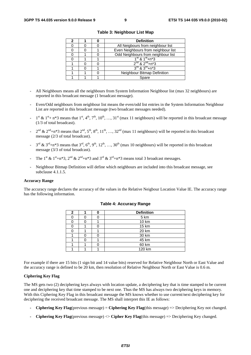|  | <b>Definition</b>                      |  |  |  |
|--|----------------------------------------|--|--|--|
|  | All Neigbours from neighbour list      |  |  |  |
|  | Even Neighbours from neighbour list    |  |  |  |
|  | Odd Neighbours from neighbour list     |  |  |  |
|  | $1^{\text{st}}$ & $1^{\text{st}}$ +n*3 |  |  |  |
|  | $2^{nd}$ & $2^{nd}$ +n*3               |  |  |  |
|  | $3^{rd}$ & $3^{rd}$ +n*3               |  |  |  |
|  | Neighbour Bitmap Definition            |  |  |  |
|  | Spare                                  |  |  |  |

**Table 3: Neighbour List Map** 

- All Neighbours means all the neighbours from System Information Neighbour list (max 32 neighbours) are reported in this broadcast message (1 broadcast message).
- Even/Odd neighbours from neighbour list means the even/odd list entries in the System Information Neighbour List are reported in this broadcast message (two broadcast messages needed).
- $1^{st}$  &  $1^{st}$  + n\*3 means that  $1^{st}$ ,  $4^{th}$ ,  $7^{th}$ ,  $10^{th}$ , ...,  $31^{st}$  (max 11 neighbours) will be reported in this broadcast message (1/3 of total broadcast).
- $2^{nd}$  &  $2^{nd}$ +n\*3 means that  $2^{nd}$ ,  $5^{th}$ ,  $8^{th}$ ,  $11^{th}$ , …,  $32^{nd}$  (max 11 neighbours) will be reported in this broadcast message (2/3 of total broadcast).
- $3^{\text{rd}}$  &  $3^{\text{rd}}+n*3$  means that  $3^{\text{rd}}, 6^{\text{th}}, 9^{\text{th}}, 12^{\text{th}}, ..., 30^{\text{th}}$  (max 10 neighbours) will be reported in this broadcast message (3/3 of total broadcast).
- The 1<sup>st</sup> & 1<sup>st</sup>+n\*3, 2<sup>nd</sup> & 2<sup>nd</sup>+n\*3 and 3<sup>rd</sup> & 3<sup>rd</sup>+n\*3 means total 3 broadcast messages.
- Neighbour Bitmap Definition will define which neighbours are included into this broadcast message, see subclause 4.1.1.5.

#### **Accuracy Range**

The accuracy range declares the accuracy of the values in the Relative Neigbour Location Value IE. The accuracy range has the following information.

| 2 |  | <b>Definition</b> |  |  |  |  |  |
|---|--|-------------------|--|--|--|--|--|
|   |  | 5 km              |  |  |  |  |  |
|   |  | 10 km             |  |  |  |  |  |
|   |  | 15 km             |  |  |  |  |  |
|   |  | 20 km             |  |  |  |  |  |
|   |  | 30 km             |  |  |  |  |  |
|   |  | 45 km             |  |  |  |  |  |
|   |  | 60 km             |  |  |  |  |  |
|   |  | 120 km            |  |  |  |  |  |

#### **Table 4: Accuracy Range**

For example if there are 15 bits (1 sign bit and 14 value bits) reserved for Relative Neighbour North or East Value and the accuracy range is defined to be 20 km, then resolution of Relative Neighbour North or East Value is 0.6 m.

#### **Ciphering Key Flag**

The MS gets two (2) deciphering keys always with location update, a deciphering key that is time stamped to be current one and deciphering key that time stamped to be next one. Thus the MS has always two deciphering keys in memory. With this Ciphering Key Flag in this broadcast message the MS knows whether to use current/next deciphering key for deciphering the received broadcast message. The MS shall interpret this IE as follows:

- **Ciphering Key Flag**(previous message) = **Ciphering Key Flag**(this message) => Deciphering Key not changed.
- **Ciphering Key Flag**(previous message) <> **Cipher Key Flag**(this message) => Deciphering Key changed.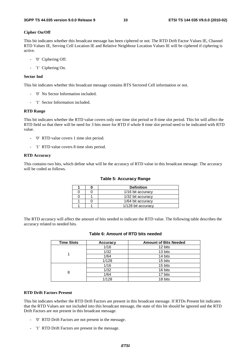#### **Cipher On/Off**

This bit indicates whether this broadcast message has been ciphered or not. The RTD Drift Factor Values IE, Channel RTD Values IE, Serving Cell Location IE and Relative Neighbour Location Values IE will be ciphered if ciphering is active.

- '0' Ciphering Off.
- '1' Ciphering On.

#### **Sector Ind**

This bit indicates whether this broadcast message contains BTS Sectored Cell information or not.

- '0' No Sector Information included.
- '1' Sector Information included.

#### **RTD Range**

This bit indicates whether the RTD value covers only one time slot period or 8 time slot period. This bit will affect the RTD field so that there will be need for 3 bits more for RTD if whole 8 time slot period need to be indicated with RTD value.

- '0' RTD value covers 1 time slot period.
- '1' RTD value covers 8 time slots period.

#### **RTD Accuracy**

This contains two bits, which define what will be the accuracy of RTD value in this broadcast message. The accuracy will be coded as follows.

#### **Table 5: Accuracy Range**

|  | <b>Definition</b>  |
|--|--------------------|
|  | 1/16 bit accuracy  |
|  | 1/32 bit accuracy  |
|  | 1/64 bit accuracy  |
|  | 1/128 bit accuracy |

The RTD accuracy will affect the amount of bits needed to indicate the RTD value. The following table describes the accuracy related to needed bits.

| <b>Time Slots</b> | Accuracy | <b>Amount of Bits Needed</b> |  |  |
|-------------------|----------|------------------------------|--|--|
|                   | 1/16     | 12 bits                      |  |  |
|                   | 1/32     | 13 bits                      |  |  |
|                   | 1/64     | 14 bits                      |  |  |
|                   | 1/128    | 15 bits                      |  |  |
| 8                 | 1/16     | 15 bits                      |  |  |
|                   | 1/32     | 16 bits                      |  |  |
|                   | 1/64     | 17 bits                      |  |  |
|                   | 1/128    | 18 bits                      |  |  |

### **Table 6: Amount of RTD bits needed**

#### **RTD Drift Factors Present**

This bit indicates whether the RTD Drift Factors are present in this broadcast message. If RTDs Present bit indicates that the RTD Values are not included into this broadcast message, the state of this bit should be ignored and the RTD Drift Factors are not present in this broadcast message.

- '0' RTD Drift Factors are not present in the message.
- '1' RTD Drift Factors are present in the message.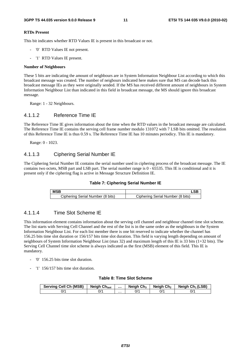#### **RTDs Present**

This bit indicates whether RTD Values IE is present in this broadcast or not.

- '0' RTD Values IE not present.
- '1' RTD Values IE present.

#### **Number of Neighbours**

These 5 bits are indicating the amount of neighbours are in System Information Neighbour List according to which this broadcast message was created. The number of neigbours indicated here makes sure that MS can decode back this broadcast message IEs as they were originally sended. If the MS has received different amount of neighbours in System Information Neighbour List than indicated in this field in broadcast message, the MS should ignore this broadcast message.

Range: 1 - 32 Neighbours.

### 4.1.1.2 Reference Time IE

The Reference Time IE gives information about the time when the RTD values in the broadcast message are calculated. The Reference Time IE contains the serving cell frame number modulo 131072 with 7 LSB bits omitted. The resolution of this Reference Time IE is thus 0.59 s. The Reference Time IE has 10 minutes periodicy. This IE is mandatory.

Range: 0 - 1023.

### 4.1.1.3 Ciphering Serial Number IE

The Ciphering Serial Number IE contains the serial number used in ciphering process of the broadcast message. The IE contains two octets, MSB part and LSB part. The serial number range is 0 - 65535. This IE is conditional and it is present only if the ciphering flag is active in Message Structure Definition IE.

| <b>MSB</b>                       |                                  |
|----------------------------------|----------------------------------|
| Ciphering Serial Number (8 bits) | Ciphering Serial Number (8 bits) |

### 4.1.1.4 Time Slot Scheme IE

This information element contains information about the serving cell channel and neighbour channel time slot scheme. The list starts with Serving Cell Channel and the rest of the list is in the same order as the neighbours in the System Information Neighbour List. For each list member there is one bit reserved to indicate whether the channel has 156.25 bits time slot duration or 156/157 bits time slot duration. This field is varying length depending on amount of neighbours of System Information Neighbour List (max 32) and maximum length of this IE is 33 bits (1+32 bits). The Serving Cell Channel time slot scheme is always indicated as the first (MSB) element of this field. This IE is mandatory.

- '0' 156.25 bits time slot duration.
- '1' 156/157 bits time slot duration.

#### **Table 8: Time Slot Scheme**

| <b>Serving Cell Ch (MSB)</b> | <b>Neigh Chlast</b> |   | Neigh $Ch3$ | Neigh Ch <sub>2</sub> | Neigh $Ch_1(LSB)$ |
|------------------------------|---------------------|---|-------------|-----------------------|-------------------|
| 0/1                          | 1′                  | . | 0/'         | 0/1                   | 0/1               |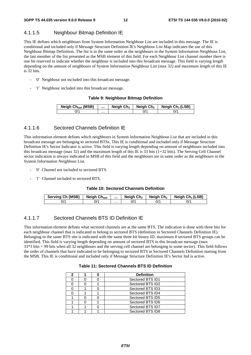# 4.1.1.5 Neighbour Bitmap Definition IE

This IE defines which neighbours from System Information Neighbour List are included in this message. The IE is conditional and included only if Message Structure Definition IE's Neighbour List Map indicates the use of this Neighbour Bitmap Definition. The list is in the same order as the neighbours in the System Information Neighbour List, the last member of the list presented as the MSB element of this field. For each Neighbour List channel number there is one bit reserved to indicate whether the neighbour is included into this broadcast message. This field is varying length depending on the amount of neighbours of System Information Neighbour List (max 32) and maximum length of this IE is 32 bits.

- '0' Neighbour not included into this broadcast message.
- '1' Neighbour included into this broadcast message.

#### **Table 9: Neighbour Bitmap Definition**

| Neigh Ch <sub>last</sub> (MSB) |   | Neigh $Ch3$ | Neiah Ch2 | Neigh $Ch_1(LSB)$ |
|--------------------------------|---|-------------|-----------|-------------------|
| $J^{\prime}$                   | . |             |           |                   |

### 4.1.1.6 Sectored Channels Definition IE

This information element defines which neighbours in System Information Neighbour List that are included in this broadcast message are belonging to sectored BTSs. This IE is conditional and included only if Message Structure Definition IE's Sector Indicator is active. This field is varying length depending on amount of neighbours included into this broadcast message (max 32) and the maximum length of this IE is 33 bits (1+32 bits). The Serving Cell Channel sector indication is always indicated in MSB of this field and the neighbours are in same order as the neighbours in the System Information Neighbour List.

- '0' Channel not included to sectored BTS.
- '1' Channel included to sectored BTS.

#### **Table 10: Sectored Channels Definition**

| <b>Serving Ch (MSB)</b> | <b>Neigh Chlast</b> |   | Neigh $Ch_3$ | Neiah Ch2 | Neigh $Ch_1(LSB)$ |
|-------------------------|---------------------|---|--------------|-----------|-------------------|
| 0/'                     | 0/1                 | . |              | ^/0       | 0/1               |

### 4.1.1.7 Sectored Channels BTS ID Definition IE

This information element defines what sectored channels are at the same BTS. The indication is done with three bits for each neighbour channel that is indicated to belong to sectored BTS (definition in Sectored Channels Definition IE). Belonging to the same BTS site is indicated with the same three bit binary ID, maximum 8 sectored BTS groups can be identified. This field is varying length depending on amount of sectored BTS in this broadcast message (max 33\*3 bits = 99 bits when all 32 neighbours and the serving cell channel are belonging to some sector). This field follows the order of channels that have indicated to be belonging to sectored BTS in Sectored Channels Definition starting from the MSB. This IE is conditional and included only if Message Structure Definition IE's Sector Ind is active.

#### **Table 11: Sectored Channels BTS ID Definition**

| 2 |  | <b>Definition</b> |  |
|---|--|-------------------|--|
|   |  | Sectored BTS ID1  |  |
|   |  | Sectored BTS ID2  |  |
|   |  | Sectored BTS ID3  |  |
|   |  | Sectored BTS ID4  |  |
|   |  | Sectored BTS ID5  |  |
|   |  | Sectored BTS ID6  |  |
|   |  | Sectored BTS ID7  |  |
|   |  | Sectored BTS ID8  |  |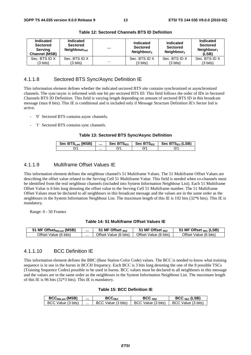| Indicated<br><b>Sectored</b><br><b>Serving</b><br><b>Channel (MSB)</b> | <b>Indicated</b><br><b>Sectored</b><br>Neighbour <sub>last</sub> |          | <b>Indicated</b><br><b>Sectored</b><br>Neighbour <sub>3</sub> | Indicated<br><b>Sectored</b><br>Neighbour <sub>2</sub> | Indicated<br><b>Sectored</b><br>Neighbour $_1$<br>(LSB) |
|------------------------------------------------------------------------|------------------------------------------------------------------|----------|---------------------------------------------------------------|--------------------------------------------------------|---------------------------------------------------------|
| Sec. BTS ID X                                                          | Sec. BTS ID X                                                    |          | Sec. BTS ID X                                                 | Sec. BTS ID X                                          | Sec. BTS ID X                                           |
| (3 bits)                                                               | (3 bits)                                                         | $\cdots$ | $(3 \text{ bits})$                                            | (3 bits)                                               | $(3 \text{ bits})$                                      |

**Table 12: Sectored Channels BTS ID Definition** 

### 4.1.1.8 Sectored BTS Sync/Async Definition IE

This information element defines whether the indicated sectored BTS site contains synchronized or asynchronized channels. The sync/async is informed with one bit per sectored BTS ID. This field follows the order of IDs in Sectored Channels BTS ID Definition. This field is varying length depending on amount of sectored BTS ID in this broadcast message (max 8 bits). This IE is conditional and is included only if Message Structure Definition IE's Sector Ind is active.

- '0' Sectored BTS contains async channels.
- '1' Sectored BTS contains sync channels.

#### **Table 13: Sectored BTS Sync/Async Definition**

| Sec BTS <sub>Last</sub> (MSB) |   | Sec $BTS1D3$ | Sec $BTSID2$ | Sec BTS <sub>ID1</sub> (LSB) |
|-------------------------------|---|--------------|--------------|------------------------------|
| $J^{\prime}$                  | . |              | IJΓ          | J/'                          |

### 4.1.1.9 Multiframe Offset Values IE

This information element defines the neighbour channel's 51 Multiframe Values. The 51 Multiframe Offset Values are describing the offset value related to the Serving Cell 51 Multiframe Value. This field is needed when co-channels must be identified from the real neighbour channels (included into System Information Neighbour List). Each 51 Multiframe Offset Value is 6 bits long denoting the offset value to the Serving Cell 51 Multiframe number. The 51 Multiframe Offset Values must be declared to all neighbours in this broadcast message and the values are in the same order as the neighbours in the System Information Neighbour List. The maximum length of this IE is 192 bits (32\*6 bits). This IE is mandatory.

Range: 0 - 50 Frames

#### **Table 14: 51 Multiframe Offset Values IE**

| <b>I MF Offset<sub>NbLast</sub> (MSB)</b> |   | <b>MF Offset <math>_{Nb3}</math></b> | $MF$ Offset $_{Nb2}$  | (LSB)<br>$^{\circ}$ MF Offset $_{\sf Nb1}$ |
|-------------------------------------------|---|--------------------------------------|-----------------------|--------------------------------------------|
| Offset Value (6 bits)                     | . | Value (6 bits)<br>)ttset             | Offset Value (6 bits) | Offset<br>Value (6 bits)                   |

### 4.1.1.10 BCC Definition IE

This information element defines the BBC (Base Station Color Code) values. The BCC is needed to know what training sequence is in use in the bursts in BCCH frequency. Each BCC is 3 bits long denoting the one of the 8 possible TSCs (Training Sequence Codes) possible to be used in bursts. BCC values must be declared to all neighbours in this message and the values are in the same order as the neighbours in the System Information Neighbour List. The maximum length of this IE is 96 bits (32\*3 bits). This IE is mandatory.

#### **Table 15: BCC Definition IE**

| <b>BCC<sub>NbLast</sub></b> (MSB) |   | BCC <sub>Nb3</sub>     | BCC <sub>Nh2</sub>         | $BCCNb1$ (LSB)     |
|-----------------------------------|---|------------------------|----------------------------|--------------------|
| BCC Value (3 bits)                | . | Value (3 bits)<br>BCC. | ` Value (3 bits) ·<br>BCC. | BCC Value (3 bits) |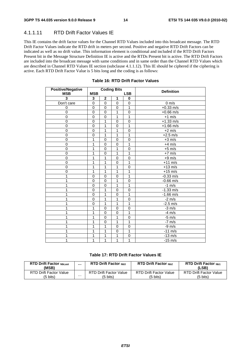## 4.1.1.11 RTD Drift Factor Values IE

This IE contains the drift factor values for the Channel RTD Values included into this broadcast message. The RTD Drift Factor Values indicate the RTD drift in meters per second. Positive and negative RTD Drift Factors can be indicated as well as no drift value. This information element is conditional and included if the RTD Drift Factors Present bit in the Message Structure Definition IE is active and the RTDs Present bit is active. The RTD Drift Factors are included into the broadcast message with same conditions and in same order than the Channel RTD Values which are described in Channel RTD Values IE section (subclause 4.1.1.12). This IE should be ciphered if the ciphering is active. Each RTD Drift Factor Value is 5 bits long and the coding is as follows:

| <b>Positive/Negative</b> |             |                | <b>Coding Bits</b> |              | <b>Definition</b>   |
|--------------------------|-------------|----------------|--------------------|--------------|---------------------|
| <b>MSB</b>               | <b>MSB</b>  |                |                    | <b>LSB</b>   |                     |
| 3                        | 3           | $\mathbf 2$    | 1                  | 0            |                     |
| Don't care               | 0           | $\mathbf 0$    | $\mathbf 0$        | 0            | $0 \text{ m/s}$     |
| 0                        | $\pmb{0}$   | $\mathbf 0$    | $\mathbf 0$        | 1            | $+0.33$ m/s         |
| $\mathbf 0$              | $\mathbf 0$ | $\mathbf 0$    | 1                  | $\mathbf 0$  | $+0.66$ m/s         |
| $\mathbf 0$              | 0           | $\mathbf 0$    | 1                  | 1            | $+1$ m/s            |
| $\mathbf 0$              | 0           | 1              | $\mathbf 0$        | $\mathbf 0$  | $+1.33$ m/s         |
| $\overline{0}$           | $\mathbf 0$ | 1              | $\mathbf 0$        | 1            | $+1.66$ m/s         |
| $\pmb{0}$                | $\mathbf 0$ | 1              | 1                  | $\mathbf 0$  | $+2$ m/s            |
| $\mathbf 0$              | $\mathbf 0$ | 1              | 1                  | 1            | $+2.5$ m/s          |
| 0                        | 1           | $\mathbf 0$    | $\mathbf 0$        | 0            | $+3$ m/s            |
| 0                        | 1           | $\mathbf 0$    | $\mathbf 0$        | 1            | $+4$ m/s            |
| $\overline{0}$           | 1           | $\mathbf 0$    | 1                  | 0            | $+5$ m/s            |
| $\pmb{0}$                | 1           | $\mathbf 0$    | 1                  | 1            | $+7$ m/s            |
| $\overline{0}$           | 1           | 1              | $\overline{0}$     | $\mathbf 0$  | $+9 \overline{m/s}$ |
| $\mathbf 0$              | 1           | 1              | $\mathbf 0$        | 1            | $+11$ m/s           |
| 0                        | 1           | 1              | 1                  | $\mathbf 0$  | $+13$ m/s           |
| 0                        | 1           | 1              | 1                  | 1            | $+15$ m/s           |
| 1                        | $\Omega$    | $\mathbf 0$    | $\mathbf 0$        | 1            | $-0.33$ m/s         |
| 1                        | $\mathbf 0$ | $\mathbf 0$    | 1                  | $\mathbf 0$  | $-0.66$ m/s         |
|                          | 0           | $\mathbf 0$    | 1                  | 1            | $-1$ m/s            |
| 1                        | 0           | 1              | 0                  | $\mathbf 0$  | $-1.33$ m/s         |
|                          | 0           | 1              | $\mathbf 0$        | 1            | $-1.66$ m/s         |
|                          | $\mathbf 0$ | 1              | 1                  | 0            | $-2 \overline{m/s}$ |
|                          | 0           | 1              | 1                  | 1            | $-2.5$ m/s          |
|                          | 1           | $\mathbf 0$    | $\mathbf 0$        | $\mathbf 0$  | $-3$ m/s            |
|                          | 1           | $\mathbf 0$    | $\mathbf 0$        | 1            | $-4$ m/s            |
|                          | 1           | $\mathbf 0$    | 1                  | 0            | $-5$ m/s            |
|                          | 1           | $\overline{0}$ | $\overline{1}$     | 1            | $-7$ m/s            |
|                          | 1           | 1              | $\mathbf 0$        | $\mathbf 0$  | $-9$ m/s            |
|                          | 1           | 1              | $\mathbf 0$        | $\mathbf{1}$ | $-11$ m/s           |
|                          | 1           | 1              | 1                  | $\mathbf 0$  | $-13$ m/s           |
| 1                        | 1           | 1              | 1                  | 1            | $-15$ m/s           |

#### **Table 16: RTD Drift Factor Values**

### **Table 17: RTD Drift Factor Values IE**

| <b>RTD Drift Factor NbLast</b><br>(MSB) |   | <b>RTD Drift Factor Nh3</b> | <b>RTD Drift Factor Nh2</b>   | <b>RTD Drift Factor Nh1</b><br>(LSB) |
|-----------------------------------------|---|-----------------------------|-------------------------------|--------------------------------------|
| RTD Drift Factor Value                  |   | RTD Drift Factor Value      | <b>RTD Drift Factor Value</b> | RTD Drift Factor Value               |
| (5 bits)                                | . | (5 bits)                    | (5 bits)                      | (5 bits)                             |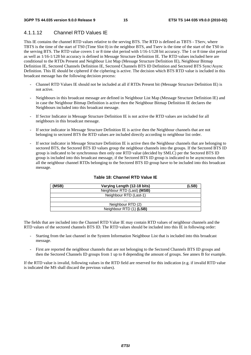# 4.1.1.12 Channel RTD Values IE

This IE contains the channel RTD values relative to the serving BTS. The RTD is defined as TBTS - TServ, where TBTS is the time of the start of TS0 (Time Slot 0) in the neighbor BTS, and Tserv is the time of the start of the TS0 in the serving BTS. The RTD value covers 1 or 8 time slot period with 1/16-1/128 bit accuracy. The 1 or 8 time slot period as well as 1/16-1/128 bit accuracy is defined in Message Structure Definition IE. The RTD values included here are conditional to the RTDs Present and Neighbour List Map (Message Structure Definition IE), Neighbour Bitmap Definition IE, Sectored Channels Definition IE, Sectored Channels BTS ID Definition and Sectored BTS Sync/Async Definition. This IE should be ciphered if the ciphering is active. The decision which BTS RTD value is included in this broadcast message has the following decision process:

- Channel RTD Values IE should not be included at all if RTDs Present bit (Message Structure Definition IE) is not active.
- Neighbours in this broadcast message are defined in Neighbour List Map (Message Structure Definition IE) and in case the Neighbour Bitmap Definition is active then the Neighbour Bitmap Definition IE declares the Neighbours included into this broadcast message.
- If Sector Indicator in Message Structure Definition IE is not active the RTD values are included for all neighbours in this broadcast message.
- If sector indicator in Message Structure Definition IE is active then the Neighbour channels that are not belonging to sectored BTS the RTD values are included directly according to neighbour list order.
- If sector indicator in Message Structure Definition IE is active then the Neighbour channels that are belonging to sectored BTS, the Sectored BTS ID values group the neighbour channels into the groups. If the Sectored BTS ID group is indicated to be synchronous then only one RTD value (decided by SMLC) per the Sectored BTS ID group is included into this broadcast message, if the Sectored BTS ID group is indicated to be asyncronous then all the neighbour channel RTDs belonging to the Sectored BTS ID group have to be included into this broadcast message.

| (MSB) | Varying Length (12-18 bits) | (LSB) |
|-------|-----------------------------|-------|
|       | Neighbour RTD (Last) (MSB)  |       |
|       | Neighbour RTD (Last-1)      |       |
|       | .                           |       |
|       | Neighbour RTD (2)           |       |
|       | Neighbour RTD (1) (LSB)     |       |

### **Table 18: Channel RTD Value IE**

The fields that are included into the Channel RTD Value IE may contain RTD values of neighbour channels and the RTD values of the sectored channels BTS ID. The RTD values should be included into this IE in following order:

- Starting from the last channel in the System Information Neighbour List that is included into this broadcast message.
- First are reported the neighbour channels that are not belonging to the Sectored Channels BTS ID groups and then the Sectored Channels ID groups from 1 up to 8 depending the amount of groups. See annex B for example.

If the RTD value is invalid, following values in the RTD field are reserved for this indication (e.g. if invalid RTD value is indicated the MS shall discard the previous values).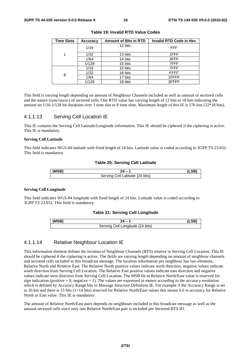| <b>Time Slots</b> | Accuracy | <b>Amount of Bits in RTD</b> | <b>Invalid RTD Code in Hex</b> |
|-------------------|----------|------------------------------|--------------------------------|
|                   | 1/16     | 12 bits                      | <b>FFF</b>                     |
|                   | 1/32     | 13 bits                      | 1FFF                           |
|                   | 1/64     | 14 bits                      | 3FFF                           |
|                   | 1/128    | 15 bits                      | 7FFF                           |
|                   | 1/16     | 15 bits                      | 7FFF                           |
| 8                 | 1/32     | 16 bits                      | <b>FFFF</b>                    |
|                   | 1/64     | 17 bits                      | 1FFFF                          |
|                   | 1/128    | 18 bits                      | 3FFFF                          |

**Table 19: Invalid RTD Value Codes** 

This field is varying length depending on amount of Neighbour Channels included as well as amount of sectored cells and the nature (sync/async) of sectored cells. One RTD value has varying length of 12 bits to 18 bits indicating the amount on 1/16-1/128 bit durations over 1 time slot or 8 time slots. Maximum length of this IE is 576 bits (32\*18 bits).

### 4.1.1.13 Serving Cell Location IE

This IE contains the Serving Cell Latitude/Longitude information. This IE should be ciphered if the ciphering is active. This IE is mandatory.

#### **Serving Cell Latitude**

This field indicates WGS-84 latitude with fixed length of 24 bits. Latitude value is coded according to 3GPP TS 23.032. This field is mandatory.

#### **Table 20: Serving Cell Latitude**

| (MSB) |                                                     |  |
|-------|-----------------------------------------------------|--|
|       | $(24 \text{ bits})$<br>Servin<br>اا∩∴<br>`atitude 、 |  |

#### **Serving Cell Longitude**

This field indicates WGS-84 longitude with fixed length of 24 bits. Latitude value is coded according to 3GPP TS 23.032. This field is mandatory.

#### **Table 21: Serving Cell Longitude**

| (MSB) |                                     |  |
|-------|-------------------------------------|--|
|       | Cell Longitude (24 bits)<br>Serving |  |

### 4.1.1.14 Relative Neighbour Location IE

This information element defines the location of Neighbour Channels (BTS) relative to Serving Cell Location. This IE should be ciphered if the ciphering is active. The fields are varying length depending on amount of neighbour channels and sectored cells included in this broadcast message. The location information per neighbour has two elements, Relative North and Relative East. The Relative North positive values indicate north direction, negative values indicate south direction from Serving Cell Location. The Relative East positive values indicate east direction and negative values indicate west direction from Serving Cell Location. The MSB bit in Relative North/East value is reserved for sign indication (positive  $= 0$ , negative  $= 1$ ). The values are expressed in meters according to the accuracy resolution which is defined by Accuracy Range bits in Message Structure Definition IE. For example if the Accuracy Range is set to 20 km and there is 15 bits (1+14 bits) reserved for Relative North/East values this means 0.6 m accuracy for Relative North or East value. This IE is mandatory.

The amount of Relative North/East pairs depends on neighbours included in this broadcast message as well as the amount sectored cells since only one Relative North/East pair is included per Sectored BTS ID.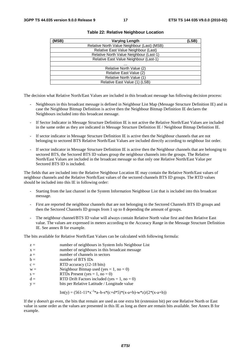| (MSB) | <b>Varying Length</b>                       | (LSB) |
|-------|---------------------------------------------|-------|
|       | Relative North Value Neighbour (Last) (MSB) |       |
|       | Relative East Value Neighbour (Last)        |       |
|       | Relative North Value Neighbour (Last-1)     |       |
|       | Relative East Value Neighbour (Last-1)      |       |
|       | .                                           |       |
|       | Relative North Value (2)                    |       |
|       | Relative East Value (2)                     |       |
|       | Relative North Value (1)                    |       |
|       | Relative East Value (1) (LSB)               |       |

#### **Table 22: Relative Neighbour Location**

The decision what Relative North/East Values are included in this broadcast message has following decision process:

- Neighbours in this broadcast message is defined in Neighbour List Map (Message Structure Definition IE) and in case the Neighbour Bitmap Definition is active then the Neighbour Bitmap Definition IE declares the Neighbours included into this broadcast message.
- If Sector Indicator in Message Structure Definition IE is not active the Relative North/East Values are included in the same order as they are indicated in Message Structure Definition IE / Neighbour Bitmap Definition IE.
- If sector indicator in Message Structure Definition IE is active then the Neighbour channels that are not belonging to sectored BTS Relative North/East Values are included directly according to neighbour list order.
- If sector indicator in Message Structure Definition IE is active then the Neighbour channels that are belonging to sectored BTS, the Sectored BTS ID values group the neighbour channels into the groups. The Relative North/East Values are included in the broadcast message so that only one Relative North/East Value per Sectored BTS ID is included.

The fields that are included into the Relative Neighbour Location IE may contain the Relative North/East values of neighbour channels and the Relative North/East values of the sectored channels BTS ID groups. The RTD values should be included into this IE in following order:

- Starting from the last channel in the System Information Neighbour List that is included into this broadcast message.
- First are reported the neighbour channels that are not belonging to the Sectored Channels BTS ID groups and then the Sectored Channels ID groups from 1 up to 8 depending the amount of groups.
- The neighbour channel/BTS ID value will always contain Relative North value first and then Relative East value. The values are expressed in meters according to the Accuracy Range in the Message Structure Definition IE. See annex B for example.

The bits available for Relative North/East Values can be calculated with following formula:

| $z =$<br>$X =$ | number of neighbours in System Info Neighbour List<br>number of neighbours in this broadcast message |
|----------------|------------------------------------------------------------------------------------------------------|
| $a =$          | number of channels in sectors                                                                        |
| $b =$          | number of BTS IDs                                                                                    |
| $c =$          | RTD accuracy (12-18 bits)                                                                            |
| $W =$          | Neighbour Bitmap used (yes = 1, no = 0)                                                              |
| $s =$          | RTDs Present (yes = $1$ , no = 0)                                                                    |
| $d =$          | RTD Drift Factors included (yes = $1$ , no = 0)                                                      |
| $y =$          | bits per Relative Latitude / Longitude value                                                         |

Int(y) = 
$$
(561-11*x^{-3}a-b-s*(c+d*5)*(x-a+b)-w*z)/(2*(x-a+b))
$$

If the y doesn't go even, the bits that remain are used as one extra bit (extension bit) per one Relative North or East value in same order as the values are presented in this IE as long as there are remain bits available. See Annex B for example.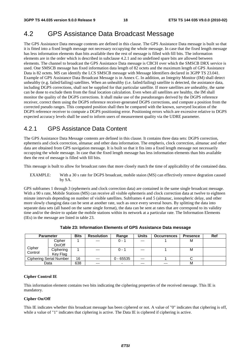# 4.2 GPS Assistance Data Broadcast Message

The GPS Assistance Data message contents are defined in this clause. The GPS Assistance Data message is built so that it is fitted into a fixed length message not necessary occupying the whole message. In case that the fixed length message has less information elements than bits available then the rest of message is filled with fill bits. The information elements are in the order which is described in subclause 4.2.1 and no undefined spare bits are allowed between elements. The channel to broadcast the GPS Assistance Data message is CBCH over which the SMSCB DRX service is used. One SMSCB message has fixed information data length of 82 octets and the maximum length of GPS Assistance Data is 82 octets. MS can identify the LCS SMSCB message with Message Identifiers declared in 3GPP TS 23.041. Example of GPS Assistance Data Broadcast Message is in Annex C. In addition, an Integrity Monitor (IM) shall detect unhealthy (e.g. failed/failing) satellites. When an unhealthy (i.e. failed/failing) satellite is detected, the assistance data, including DGPS corrections, shall not be supplied for that particular satellite. If more satellites are unhealthy, the same can be done to exclude them from the final location calculation. Even when all satellites are healthy, the IM shall monitor the quality of the DGPS corrections. It shall make use of the pseudoranges derived by the DGPS reference receiver, correct them using the DGPS reference receiver-generated DGPS corrections, and compute a position from the corrected pseudo ranges. This computed position shall then be compared with the known, surveyed location of the DGPS reference receiver to compute a DGPS positioning error. Positioning errors which are excessive relative to DGPS expected accuracy levels shall be used to inform users of measurement quality via the UDRE parameter.

# 4.2.1 GPS Assistance Data Content

The GPS Assistance Data Message contents are defined in this clause. It contains three data sets: DGPS correction, ephemeris and clock correction, almanac and other data information. The empheris, clock correction, almanac and other data are obtained from GPS navigation message. It is built so that it fits into a fixed length message not necessarily occupying the whole message. In case that the fixed length message has less information elements than bits available then the rest of message is filled with fill bits.

This message is built to allow for broadcast rates that more closely match the time of applicability of the contained data.

EXAMPLE: With a 30 s rate for DGPS broadcast, mobile staion (MS) can effectively remove degration caused by SA.

GPS subframes 1 through 3 (ephemeris and clock correction data) are contained in the same single broadcast message. With a 90 s rate, Mobile Stations (MS) can receive all visible ephemeris and clock correction data at twelve to eighteen minute intervals depending on number of visible satellites. Subframes 4 and 5 (almanac, ionospheric delay, and other more slowly changing data can be sent at another rate, such as once every several hours. By splitting the data into separate data sets (all based on the same single format), the data can be sent at rates that are correspond to its validity time and/or the desire to update the mobile stations within its network at a particular rate. The Information Elements (IEs) in the message are listed in table 23.

|         | <b>Parameter</b>        | <b>Bits</b> | <b>Resolution</b> | Range       | <b>Units</b> | <b>Occurrences</b> | <b>Presence</b> | Ref |
|---------|-------------------------|-------------|-------------------|-------------|--------------|--------------------|-----------------|-----|
|         | Cipher                  |             | $---$             | $0 - 1$     | $---$        |                    | м               |     |
|         | On/Off                  |             |                   |             |              |                    |                 |     |
| Cipher  | Ciphering               |             | $---$             | $0 - 1$     | $---$        |                    | м               |     |
| Control | Key Flag                |             |                   |             |              |                    |                 |     |
|         | Ciphering Serial Number | 16          | $---$             | $0 - 65535$ | $---$        |                    |                 |     |
|         | Data                    | 638         | $---$             | -           | $---$        | $---$              | M               |     |

**Table 23: Information Elements of GPS Assistance Data message** 

#### **Cipher Control IE**

This information element contains two bits indicating the ciphering properties of the received message. This IE is mandatory.

#### **Cipher On/Off**

This IE indicates whether this broadcast message has been ciphered or not. A value of "0" indicates that ciphering is off, while a value of "1" indicates that ciphering is active. The Data IE is ciphered if ciphering is active.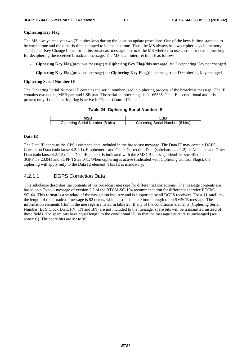#### **Ciphering Key Flag**

The MS always receives two (2) cipher keys during the location update procedure. One of the keys is time-stamped to be current one and the other is time-stamped to be the next one. Thus, the MS always has two cipher keys in memory. The Cipher Key Change Indicator in this broadcast message instructs the MS whether to use current or next cipher key for deciphering the received broadcast message. The MS shall interpret this IE as follows:

- **Ciphering Key Flag**(previous message) = **Ciphering Key Flag**(this message) => Deciphering Key not changed.
- **Ciphering Key Flag**(previous message) <> **Ciphering Key Flag**(this message) => Deciphering Key changed.

#### **Ciphering Serial Number IE**

The Ciphering Serial Number IE contains the serial number used in ciphering process of the broadcast message. The IE contains two octets, MSB part and LSB part. The serial number range is 0 - 65535. This IE is conditional and it is present only if the ciphering flag is active in Cipher Control IE.

#### **Table 24: Ciphering Serial Number IE**

| Ciphering Serial Number (8 bits) | Ciphering Serial Number (8 bits) |
|----------------------------------|----------------------------------|

#### **Data IE**

The Data IE contains the GPS assistance data included in the broadcast message. The Data IE may contain DGPS Correction Data (subclause 4.2.1.1), Emphemeris and Clock Correction Data (subclause 4.2.1.2) or Almanac and Other Data (subclause 4.2.1.3). The Data IE content is indicated with the SMSCB message identifier specified in 3GPP TS 23.041 and 3GPP TS 23.041. When ciphering is active (indicated with Ciphering Control Flags), the ciphering will apply only to the Data IE element. This IE is mandatory.

### 4.2.1.1 DGPS Correction Data

This subclause describes the contents of the broadcast message for differential corrections. The message contents are based on a Type-1 message of version 2.2 of the RTCM-SC-104 recommendation for differential service RTCM-SC104. This format is a standard of the navigation industry and is supported by all DGPS receivers. For a 11 satellites, the length of the broadcast message is 82 octets, which also is the maximum length of an SMSCB message. The information elements (IEs) in the message are listed in table 26. If any of the conditional elements (Ciphering Serial Number, BTS Clock Drift, FN, TN and BN) are not included to the message, spare bits will be transmitted instead of these fields. The spare bits have equal length to the conditional IE, so that the message structure is unchanged (see annex C). The spare bits are set to '0'.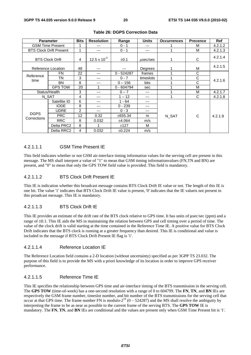|                            | <b>Parameter</b>               | <b>Bits</b> | <b>Resolution</b>     | Range        | <b>Units</b> | <b>Occurrences</b> | <b>Precence</b> | <b>Ref</b> |
|----------------------------|--------------------------------|-------------|-----------------------|--------------|--------------|--------------------|-----------------|------------|
|                            | <b>GSM Time Present</b>        |             | ---                   | $0 - 1$      | ---          |                    | М               | 4.2.1.2    |
|                            | <b>BTS Clock Drift Present</b> | 1           | ---                   | $0 - 1$      | ---          |                    | м               | 4.2.1.3    |
| <b>BTS Clock Drift</b>     |                                | 4           | $12.5 \times 10^{-3}$ | $\pm 0.1$    | usec/sec     |                    | C               | 4.2.1.4    |
|                            | Reference Location             | 48          | ---                   | ---          | Degrees      |                    | M               | 4.2.1.5    |
| Reference                  | <b>FN</b>                      | 22          | ---                   | $0 - 524287$ | frames       |                    | C               |            |
| time                       | TN                             | 3           | ---                   | $0 - 7$      | timeslots    |                    | С               | 4.2.1.6    |
|                            | <b>BN</b>                      | 8           | $---$                 | $0 - 156$    | bits         |                    | C               |            |
|                            | <b>GPS TOW</b>                 | 20          | 1                     | $0 - 604794$ | sec          |                    | М               |            |
|                            | Status/Health                  | 3           | ---                   | $0 - 7$      | ---          |                    | M               | 4.2.1.7    |
|                            | N SAT                          | 4           | $---$                 | $1 - 12$     | ---          |                    | C               | 4.2.1.8    |
|                            | Satellite ID                   | 6           | ---                   | $1 - 64$     | ---          |                    |                 |            |
|                            | <b>IODE</b>                    | 8           |                       | $0 - 239$    | ---          |                    |                 |            |
|                            | <b>UDRE</b>                    | 2           | $---$                 | $0 - 3$      | ---          |                    |                 |            |
| <b>DGPS</b><br>Corrections | <b>PRC</b>                     | 12          | 0.32                  | ±655.34      | m            | N SAT              | C               | 4.2.1.9    |
|                            | <b>RRC</b>                     | 8           | 0.032                 | ±4.064       | m/s          |                    |                 |            |
|                            | Delta PRC2                     | 8           | 1                     | ±127         | м            |                    |                 |            |
|                            | Delta RRC2                     | 4           | 0.032                 | ±0.224       | m/s          |                    |                 |            |

### **Table 26: DGPS Correction Data**

### 4.2.1.1.1 GSM Time Present IE

This field indicates whether or not GSM air-interface timing information values for the serving cell are present in this message. The MS shall interpret a value of "1" to mean that GSM timing informationvalues (FN,TN and BN) are present, and "0" to mean that only the GPS TOW field value is provided. This field is mandatory.

### 4.2.1.1.2 BTS Clock Drift Present IE

This IE is indication whether this broadcast message contains BTS Clock Drift IE value or not. The length of this IE is one bit. The value '1' indicates that BTS Clock Drift IE value is present, '0' indicates that the IE valueis not present in this proadcast message. This IE is mandatory.

### 4.2.1.1.3 BTS Clock Drift IE

This IE provides an estimate of the drift rate of the BTS clock relative to GPS time. It has units of μsec/sec (ppm) and a range of ±0.1. This IE aids the MS in maintaining the relation between GPS and cell timing over a period of time. The value of the clock drift is valid starting at the time contained in the Reference Time IE. A positive value for BTS Clock Drift indicates that the BTS clock is running at a greater frequency than desired. This IE is conditional and value is included in the message if BTS Clock Drift Present IE flag is '1'.

#### 4.2.1.1.4 Reference Location IE

The Reference Location field contains a 2-D location (without uncertainty) specified as per 3GPP TS 23.032. The purpose of this field is to provide the MS with a priori knowledge of its location in order to improve GPS receiver performance.

### 4.2.1.1.5 Reference Time IE

This IE specifies the relationship between GPS time and air-interface timing of the BTS transmission in the serving cell. The **GPS TOW** (time-of-week) has a one-second resolution with a range of 0 to 604799. The **FN**, **TN**, and **BN** IEs are respectively the GSM frame number, timeslot number, and bit number of the BTS transmissions for the serving cell that occur at that GPS time. The frame number FN is modulo- $2^{19}$  (0 – 524287) and the MS shall resolve the ambiguity by interpreting the frame to be as near as possible to the current frame of the serving BTS. The **GPS TOW** IE is mandatory. The **FN**, **TN**, and **BN** IEs are conditional and the values are present only when GSM Time Present bit is '1'.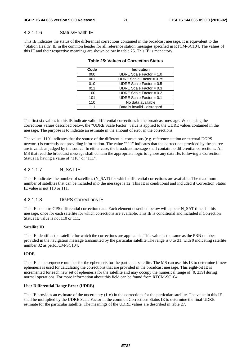### 4.2.1.1.6 Status/Health IE

This IE indicates the status of the differential corrections contained in the broadcast message. It is equivalent to the "Station Health" IE in the common header for all reference station messages specified in RTCM-SC104. The values of this IE and their respective meanings are shown below in table 25. This IE is mandatory.

| <b>Indication</b>           |
|-----------------------------|
| UDRE Scale Factor = $1.0$   |
| UDRE Scale Factor = $0.75$  |
| UDRE Scale Factor = $0.5$   |
| UDRE Scale Factor = $0.3$   |
| UDRE Scale Factor = $0.2$   |
| UDRE Scale Factor = $0.1$   |
| No data available           |
| Data is invalid - disregard |
|                             |

#### **Table 25: Values of Correction Status**

The first six values in this IE indicate valid differential corrections in the broadcast message. When using the corrections values described below, the "UDRE Scale Factor" value is applied to the UDRE values contained in the message. The purpose is to indicate an estimate in the amount of error in the corrections.

The value "110" indicates that the source of the differential corrections (e.g. reference station or external DGPS network) is currently not providing information. The value "111" indicates that the corrections provided by the source are invalid, as judged by the source. In either case, the broadcast message shall contain no differential corrections. All MS that read the broadcast message shall contain the appropriate logic to ignore any data IEs following a Correction Status IE having a value of "110" or "111".

### 4.2.1.1.7 N\_SAT IE

This IE indicates the number of satellites (N\_SAT) for which differential corrections are available. The maximum number of satellites that can be included into the message is 12. This IE is conditional and included if Correction Status IE value is not 110 or 111.

#### 4.2.1.1.8 DGPS Corrections IE

This IE contains GPS differential correction data. Each element described below will appear N\_SAT times in this message, once for each satellite for which corrections are available. This IE is conditional and included if Correction Status IE value is not 110 or 111.

#### **Satellite ID**

This IE identifies the satellite for which the corrections are applicable. This value is the same as the PRN number provided in the navigation message transmitted by the particular satellite.The range is 0 to 31, with 0 indicating satellite number 32 as perRTCM-SC104.

#### **IODE**

This IE is the sequence number for the ephemeris for the particular satellite. The MS can use this IE to determine if new ephemeris is used for calculating the corrections that are provided in the broadcast message. This eight-bit IE is incremented for each new set of ephemeris for the satellite and may occupy the numerical range of [0, 239] during normal operations. For more information about this field can be found from RTCM-SC104.

#### **User Differential Range Error (UDRE)**

This IE provides an estimate of the uncertainty  $(1-\sigma)$  in the corrections for the particular satellite. The value in this IE shall be multiplied by the UDRE Scale Factor in the common Corrections Status IE to determine the final UDRE estimate for the particular satellite. The meanings of the UDRE values are described in table 27.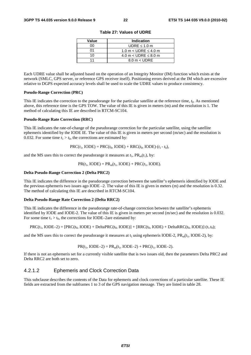| Value | Indication                    |
|-------|-------------------------------|
| იი    | UDRE $\leq 1.0$ m             |
| ሰ1    | 1.0 m $<$ UDRE $\leq$ 4.0 m   |
| 1 በ   | 4.0 m $<$ UDRE $\leq$ 8.0 m   |
|       | $8.0 \text{ m} < \text{UDRE}$ |

**Table 27: Values of UDRE** 

Each UDRE value shall be adjusted based on the operation of an Integrity Monitor (IM) function which exists at the network (SMLC, GPS server, or reference GPS receiver itself). Positioning errors derived at the IM which are excessive relative to DGPS expected accuracy levels shall be used to scale the UDRE values to produce consistency.

#### **Pseudo-Range Correction (PRC)**

This IE indicates the correction to the pseudorange for the particular satellite at the reference time, *t*0. As mentioned above, this reference time is the GPS TOW. The value of this IE is given in meters (m) and the resolution is 1. The method of calculating this IE are described in RTCM-SC104.

#### **Pseudo-Range Rate Correction (RRC)**

This IE indicates the rate-of-change of the pseudorange correction for the particular satellite, using the satellite ephemeris identified by the IODE IE. The value of this IE is given in meters per second (m/sec) and the resolution is 0.032. For some time  $t_1 > t_0$ , the corrections are estimated by:

 $PRC(t_1, IODE) = PRC(t_0, IODE) + RRC(t_0, IODE) \cdot (t_1 - t_0),$ 

and the MS uses this to correct the pseudorange it measures at  $t_1$ ,  $PR_m(t_1)$ , by:

 $PR(t_1, \text{IODE}) = PR_m(t_1, \text{IODE}) + PRC(t_1, \text{IODE}).$ 

#### **Delta Pseudo-Range Correction 2 (Delta PRC2)**

This IE indicates the difference in the pseudorange correction between the satellite"s ephemeris identified by IODE and the previous ephemeris two issues ago IODE –2. The value of this IE is given in meters (m) and the resolution is 0.32. The method of calculating this IE are described in RTCM-SC104.

#### **Delta Pseudo-Range Rate Correction 2 (Delta RRC2)**

This IE indicates the difference in the pseudorange rate-of-change correction between the satellite"s ephemeris identified by IODE and IODE-2. The value of this IE is given in meters per second (m/sec) and the resolution is 0.032. For some time  $t_1 > t_0$ , the corrections for IODE–2are estimated by:

$$
PRC(t_1, \text{IODE}-2) = [PRC(t_0, \text{IODE}) + \text{Delta}PRC(t_0, \text{IODE})] + [RRC(t_0, \text{IODE}) + \text{Delta}RRC(t_0, \text{IODE})] \cdot (t_1 \cdot t_0);
$$

and the MS uses this to correct the pseudorange it measures at  $t_1$  using ephemeris IODE-2,  $PR_m(t_1, IODE-2)$ , by:

$$
PR(t_1, IODE-2) = PR_m(t_1, IODE-2) + PRC(t_1, IODE-2).
$$

If there is not an ephemeris set for a currently visible satellite that is two issues old, then the parameters Delta PRC2 and Delta RRC2 are both set to zero.

## 4.2.1.2 Ephemeris and Clock Correction Data

This subclause describes the contents of the Data for ephemeris and clock corrections of a particular satellite. These IE fields are extracted from the subframes 1 to 3 of the GPS navigation message. They are listed in table 28.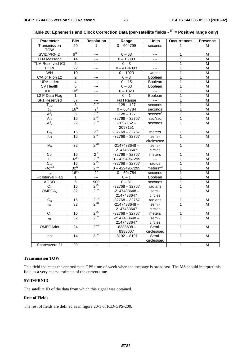| <b>Parameter</b>           | <b>Bits</b>     | <b>Resolution</b>       | Range            | <b>Units</b>         | <b>Occurrences</b> | <b>Presence</b>         |
|----------------------------|-----------------|-------------------------|------------------|----------------------|--------------------|-------------------------|
| Transmission               | 20              | $\mathbf{1}$            | $0 - 604799$     | seconds              | $\mathbf 1$        | м                       |
| <b>TOW</b>                 |                 |                         |                  |                      |                    |                         |
| SVID/PRNID                 | $6^{(1)}$       | $---$                   | $0 - 63$         | $---$                | 1                  | М                       |
| <b>TLM Message</b>         | 14              | $---$                   | $0 - 16383$      | $---$                | $\mathbf{1}$       | M                       |
| TLM Reserved (C)           | $\overline{2}$  | ---                     | $0 - 3$          | $\overline{a}$       | 1                  | M                       |
| <b>HOW</b>                 | $\overline{22}$ | $---$                   | $0 - 4194303$    | $\overline{a}$       | 1                  | M                       |
| WN                         | 10              | ---                     | $0 - 1023$       | weeks                | $\mathbf{1}$       | М                       |
| C/A or P on L2             | $\overline{c}$  | $---$                   | $0 - 3$          | <b>Boolean</b>       | 1                  | М                       |
| <b>URA Index</b>           | 4               | $---$                   | $0 - 15$         | Boolean              | 1                  | M                       |
| SV Health                  | 6               | $---$                   | $0 - 63$         | <b>Boolean</b>       | 1                  | M                       |
| <b>IODC</b>                | $10^{(1)}$      | $---$                   | $0 - 1023$       | $\sim$ $\sim$        | 1                  | М                       |
| L <sub>2</sub> P Data Flag | 1               | $\overline{a}$          | $0 - 1$          | Boolean              | 1                  | M                       |
| <b>SF1 Reserved</b>        | 87              | ---                     | Ful I Range      | $\overline{a}$       | 1                  | M                       |
| $T_{GD}$                   | 8               | $2^{-31}$               | $-128 - 127$     | seconds              | $\mathbf{1}$       | M                       |
| $t_{oc}$                   | $16^{(1)}$      | 2 <sup>4</sup>          | $0 - 604784$     | seconds              | 1                  | M                       |
| Af <sub>2</sub>            | 8               | $2^{-55}$               | $-128 - 127$     | sec/sec <sup>2</sup> | 1                  | M                       |
| Af <sub>1</sub>            | $\overline{16}$ | $2^{-43}$               | $-32768 - 32767$ | sec/sec              | 1                  | M                       |
| Af <sub>0</sub>            | $\overline{22}$ | $2^{-31}$               | $-2097152-$      | seconds              | $\overline{1}$     | M                       |
|                            |                 |                         | 2097151          |                      |                    |                         |
| $C_{rs}$                   | 16              | $2^{5}$                 | $-32768 - 32767$ | meters               | 1                  | M                       |
| $\Delta n$                 | 16              | $2^{-43}$               | $-32768 - 32767$ | semi-                | 1                  | М                       |
|                            |                 |                         |                  | circles/sec          |                    |                         |
| $M_0$                      | 32              | $2^{31}$                | $-2147483648 -$  | semi-                | $\mathbf{1}$       | M                       |
|                            |                 |                         | 2147483647       | circles              |                    |                         |
| $C_{uc}$                   | 16              | $2^{5}$                 | $-32768 - 32767$ | meters               | 1                  | M                       |
| E                          | $32^{(1)}$      | $2^{-33}$               | $0 - 4294967295$ | $\sim$ $\sim$        | 1                  | м                       |
| $\overline{C_{us}}$        | 16              | $2^{-29}$               | $-32768 - 32767$ | radius               | $\mathbf{1}$       | $\overline{\mathsf{M}}$ |
| $(A)^{1/2}$                | $32^{(1)}$      | $2^{-19}$               | $0 - 4294967295$ | meters $^{1/2}$      | 1                  | М                       |
| $t_{oe}$                   | $16^{(1)}$      | 2 <sup>4</sup>          | $0 - 604784$     | seconds              | 1                  | M                       |
| Fit Interval Flag          | 1               | $---$                   | $0 - 1$          | <b>Boolean</b>       | $\mathbf{1}$       | M                       |
| <b>AODO</b>                | $\overline{5}$  | 900                     | $0 - 31$         | seconds              | $\mathbf{1}$       | M                       |
| $\overline{C_{ic}}$        | 16              | $2^{-29}$               | $-32768 - 32767$ | radians              | $\overline{1}$     | M                       |
| OMEGA <sub>0</sub>         | 32              | $2^{-31}$               | $-2147483648 -$  | semi-                | $\overline{1}$     | M                       |
|                            |                 |                         | 2147483647       | circles              |                    |                         |
| $C_{is}$                   | 16              |                         | $-32768 - 32767$ | radians              | 1                  | M                       |
| in.                        | 32              | $\frac{2^{29}}{2^{31}}$ | $-2147483648 -$  | semi-                | $\mathbf{1}$       | м                       |
|                            |                 |                         | 2147483647       | circles              |                    |                         |
| $C_{rc}$                   | 16              | $2^{-29}$               | $-32768 - 32767$ | meters               | 1                  | M                       |
|                            | 32              | $2^{-31}$               | $-2147483648 -$  | semi-                | $\mathbf{1}$       | M                       |
| $\omega$                   |                 |                         | 2147483647       | circles              |                    |                         |
| <b>OMEGAdot</b>            | 24              | $2^{-43}$               | $-8388608-$      | Semi-                | $\mathbf{1}$       | M                       |
|                            |                 |                         | 8388607          | circles/sec          |                    |                         |
| Idot                       | 14              | $2^{-43}$               | $-8192 - 8191$   | Semi-                | $\mathbf{1}$       | M                       |
|                            |                 |                         |                  | circles/sec          |                    |                         |
| Spares/zero fill           | 20              | $\overline{a}$          | $---$            | $\overline{a}$       | 1                  | M                       |
|                            |                 |                         |                  |                      |                    |                         |

| Table 28: Ephemeris and Clock Correction Data (per-satellite fields - <sup>(1)</sup> = Positive range only) |  |  |  |
|-------------------------------------------------------------------------------------------------------------|--|--|--|
|-------------------------------------------------------------------------------------------------------------|--|--|--|

#### **Transmission TOW**

This field indicates the approximate GPS time-of-week when the message is broadcast. The MS should interpret this field as a very coarse estimate of the current time.

#### **SVID/PRNID**

The satellite ID of the data from which this signal was obtained.

### **Rest of Fields**

The rest of fields are defined as in figure 20-1 of ICD-GPS-200.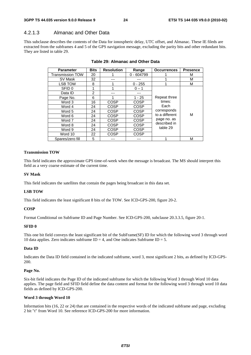### 4.2.1.3 Almanac and Other Data

This subclause describes the contents of the Data for ionospheric delay, UTC offset, and Almanac. These IE fileds are extracted from the subframes 4 and 5 of the GPS navigation message, excluding the parity bits and other redundant bits. They are listed in table 29.

| <b>Parameter</b>        | <b>Bits</b> | <b>Resolution</b> | Range        | <b>Occurrences</b>            | <b>Presence</b> |
|-------------------------|-------------|-------------------|--------------|-------------------------------|-----------------|
| <b>Transmission TOW</b> | 20          |                   | $0 - 604799$ |                               | м               |
| SV Mask                 | 32          |                   |              |                               | м               |
| <b>LSB TOW</b>          | 8           |                   | $0 - 255$    |                               | м               |
| SFID 0                  | 1           |                   | $0 - 1$      |                               |                 |
| Data ID                 | 2           |                   | ---          |                               |                 |
| Page No.                | 6           |                   | $1 - 25$     | Repeat three                  |                 |
| Word 3                  | 16          | <b>COSP</b>       | <b>COSP</b>  | times:<br>Each<br>corresponds |                 |
| Word 4                  | 24          | COSP              | <b>COSP</b>  |                               |                 |
| Word 5                  | 24          | COSP              | COSP         |                               |                 |
| Word 6                  | 24          | COSP              | <b>COSP</b>  | to a different                | М               |
| Word 7                  | 24          | COSP              | COSP         | page no. as                   |                 |
| Word 8                  | 24          | COSP              | COSP         | described in                  |                 |
| Word 9                  | 24          | COSP              | COSP         | table 29                      |                 |
| Word 10                 | 22          | COSP              | COSP         |                               |                 |
| Spares/zero fill        | 5           |                   |              |                               | м               |

#### **Table 29: Almanac and Other Data**

#### **Transmission TOW**

This field indicates the approximate GPS time-of-week when the message is broadcast. The MS should interpret this field as a very coarse estimate of the current time.

#### **SV Mask**

This field indicates the satellites that contain the pages being broadcast in this data set.

#### **LSB TOW**

This field indicates the least significant 8 bits of the TOW. See ICD-GPS-200, figure 20-2.

#### **COSP**

Format Conditional on Subframe ID and Page Number. See ICD-GPS-200, subclause 20.3.3.5, figure 20-1.

#### **SFID 0**

This one bit field conveys the least significant bit of the SubFrame(SF) ID for which the following word 3 through word 10 data applies. Zero indicates subframe  $ID = 4$ , and One indicates Subframe  $ID = 5$ .

#### **Data ID**

Indicates the Data ID field contained in the indicated subframe, word 3, most significant 2 bits, as defined by ICD-GPS-200.

#### **Page No.**

Six-bit field indicates the Page ID of the indicated subframe for which the following Word 3 through Word 10 data applies. The page field and SFID field define the data content and format for the following word 3 through word 10 data fields as defined by ICD-GPS-200.

#### **Word 3 through Word 10**

Information bits (16, 22 or 24) that are contained in the respective words of the indicated subframe and page, excluding 2 bit "t" from Word 10. See reference ICD-GPS-200 for more information.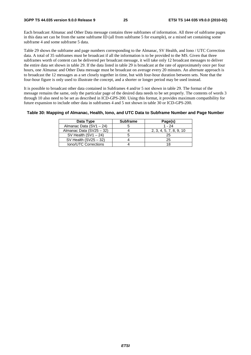Each broadcast Almanac and Other Data message contains three subframes of information. All three of subframe pages in this data set can be from the same subframe ID (all from subframe 5 for example), or a mixed set containing some subframe 4 and some subframe 5 data.

Table 29 shows the subframe and page numbers corresponding to the Almanac, SV Health, and Iono / UTC Correction data. A total of 35 subframes must be broadcast if all the information is to be provided to the MS. Given that three subframes worth of content can be delivered per broadcast message, it will take only 12 broadcast messages to deliver the entire data set shown in table 29. If the data listed in table 29 is broadcast at the rate of approximately once per four hours, one Almanac and Other Data message must be broadcast on average every 20 minutes. An alternate approach is to broadcast the 12 messages as a set closely together in time, but with four-hour duration between sets. Note that the four-hour figure is only used to illustrate the concept, and a shorter or longer period may be used instead.

It is possible to broadcast other data contained in Subframes 4 and/or 5 not shown in table 29. The format of the message remains the same, only the particular page of the desired data needs to be set properly. The contents of words 3 through 10 also need to be set as described in ICD-GPS-200. Using this format, it provides maximum compatibility for future expansion to include other data in subframes 4 and 5 not shown in table 30 or ICD-GPS-200.

#### **Table 30: Mapping of Almanac, Health, Iono, and UTC Data to Subframe Number and Page Number**

| Data Type                | <b>Subframe</b> | Page(s)                 |
|--------------------------|-----------------|-------------------------|
| Almanac Data (SV1 - 24)  |                 | $1 - 24$                |
| Almanac Data (SV25 - 32) |                 | 2, 3, 4, 5, 7, 8, 9, 10 |
| SV Health $(SV1 - 24)$   |                 | 25                      |
| SV Health $(SV25 - 32)$  |                 | 25                      |
| Iono/UTC Corrections     |                 |                         |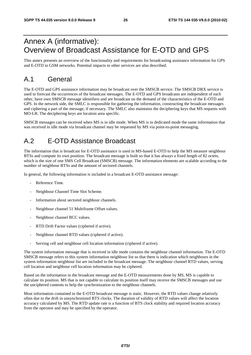# Annex A (informative): Overview of Broadcast Assistance for E-OTD and GPS

This annex presents an overview of the functionality and requirements for broadcasting assistance information for GPS and E-OTD in GSM networks. Potential impacts to other services are also described.

# A.1 General

The E-OTD and GPS assistance information may be broadcast over the SMSCB service. The SMSCB DRX service is used to forecast the occurrences of the broadcast messages. The E-OTD and GPS broadcasts are independent of each other, have own SMSCB message identifiers and are broadcast on the demand of the characteristics of the E-OTD and GPS. In the network side, the SMLC is responsible for gathering the information, constructing the broadcast messages and ciphering a part of the message, if necessary. The SMLC also maintains the deciphering keys that MS requests with MO-LR. The deciphering keys are location area specific.

SMSCB messages can be received when MS is in idle mode. When MS is in dedicated mode the same information that was received in idle mode via broadcast channel may be requested by MS via point-to-point messaging.

# A.2 E-OTD Assistance Broadcast

The information that is broadcast for E-OTD assistance is used in MS-based E-OTD to help the MS measure neighbour BTSs and compute its own position. The broadcast message is built so that it has always a fixed length of 82 octets, which is the size of one SMS Cell Broadcast (SMSCB) message. The information elements are scalable according to the number of neighbour BTSs and the amount of sectored channels.

In general, the following information is included in a broadcast E-OTD assistance message:

- Reference Time.
- Neighbour Channel Time Slot Scheme.
- Information about sectored neighbour channels.
- Neighbour channel 51 Multiframe Offset values.
- Neighbour channel BCC values.
- RTD Drift Factor values (ciphered if active).
- Neighbour channel RTD values (ciphered if active).
- Serving cell and neighbour cell location information (ciphered if active).

The system information message that is received in idle mode contains the neighbour channel information. The E-OTD SMSCB message refers to this system information neighbour list so that there is indication which neighbours in the system information neighbour list are included in the broadcast message. The neighbour channel RTD values, serving cell location and neighbour cell location information may be ciphered.

Based on the information in the broadcast message and the E-OTD measurements done by MS, MS is capable to calculate its position. MS that is not capable to calculate its position itself may receive the SMSCB messages and use the unciphered contents to help the synchronization to the neighbour channels.

Most information contained in the E-OTD broadcast message is static. However, the RTD values change relatively often due to the drift in unsynchronized BTS clocks. The duration of validity of RTD values will affect the location accuracy calculated by MS. The RTD update rate is a function of BTS clock stability and required location accuracy from the operator and may be specified by the operator.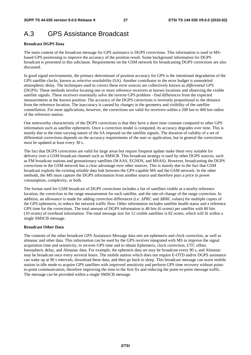# A.3 GPS Assistance Broadcast

#### **Broadcast DGPS Data**

The main content of the broadcast message for GPS assistance is DGPS corrections. This information is used in MSbased GPS positioning to improve the accuracy of the position result. Some background information for DGPS broadcast is presented in this subclause. Requirements on the GSM network for broadcasting DGPS corrections are also discussed.

In good signal environments, the primary determinant of position accuracy for GPS is the intentional degradation of the GPS satellite clocks, known as *selective availability* (SA). Another contributor to the error budget is unmodeled atmospheric delay. The techniques used to correct these error sources are collectively known as *differential GPS* (DGPS). These methods involve locating one or more reference receivers at known locations and observing the visible satellite signals. These receivers essentially solve the inverse GPS problem - find differences from the expected measurements at the known position. The accuracy of the DGPS corrections is inversely proportional to the distance from the reference location. The inaccuracy is caused by changes in the geometry and visibility of the satellite constellation. For most applications, however, the corrections are valid for receivers within a 200 km to 400 km radius of the reference station.

One noteworthy characteristic of the DGPS corrections is that they have a short time constant compared to other GPS information such as satellite ephemeris. Once a correction model is computed, its accuracy degrades over time. This is mainly due to the time-varying nature of the SA imposed on the satellite signals. The duration of validity of a set of differential corrections depends on the accuracy requirements of the user or application, but in general the corrections must be updated at least every 30 s.

The fact that DGPS corrections are valid for large areas but require frequent update make them very suitable for delivery over a GSM broadcast channel such as SMSCB. This broadcast strategy is used by other DGPS sources, such as FM broadcast stations and geostationary satellites (WAAS, EGNOS, and MSAS). However, broadcasting the DGPS corrections in the GSM network has a clear advantage over other sources. This is mainly due to the fact that GSM broadcast exploits the existing reliable data link between the GPS-capable MS and the GSM network. In the other methods, the MS must capture the DGPS information from another source and therefore pays a price in power consumption, complexity, or both.

The format used for GSM broadcast of DGPS corrections includes a list of satellites visible at a nearby reference location, the correction in the range measurement for each satellite, and the rate-of-change of the range correction. In addition, an allowance is made for adding correction differences (i.e. ΔPRC and ΔRRC values) for multiple copies of the GPS ephemeris, to reduce the network traffic flow. Other information includes satellite health status and a reference GPS time for the corrections. The total amount of DGPS information is 48 bits (6 octets) per satellite with 80 bits (10 octets) of overhead information. The total message size for 12 visible satellites is 82 octets, which will fit within a single SMSCB message.

#### **Broadcast Other Data**

The contents of the other broadcast GPS Assiatance Message data sets are ephemeris and clock correction, as well as almanac and other data. This information can be used by the GPS receiver integrated with MS to improve the signal acquisition time and sensitivity, to recover GPS time and to obtain Ephemeris, clock correction, UTC offset, Ionospheric delay, and Almanac data. For example, the ephemris data set may be broadcast every 90 s, and Almanac may be broadcast once every serveral hours. The mobile station which does not require E-OTD and/or DGPS assistance can wake up at 90 s intervals, download these data, and then go back to sleep. This broadcast message can assist mobile station in idle mode to acquire GPS satellites with improved sensitivity and perform GPS time recovery without pointto-point communication, therefore improving the time to the first fix and reducing the point-to-point message traffic. The message can be provided within a single SMSCB message.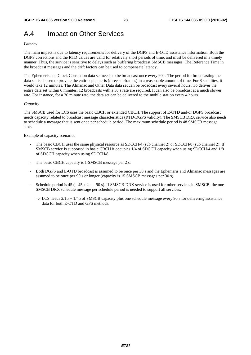# A.4 Impact on Other Services

#### *Latency*

The main impact is due to latency requirements for delivery of the DGPS and E-OTD assistance information. Both the DGPS corrections and the RTD values are valid for relatively short periods of time, and must be delivered in a timely manner. Thus, the service is sensitive to delays such as buffering broadcast SMSCB messages. The Reference Time in the broadcast messages and the drift factors can be used to compensate latency.

The Ephemeris and Clock Correction data set needs to be broadcast once every 90 s. The period for broadcasting the data set is chosen to provide the entire ephemeris (three subframes) in a reasonable amount of time. For 8 satellites, it would take 12 minutes. The Almanac and Other Data data set can be broadcast every several hours. To deliver the entire data set within 6 minutes, 12 broadcasts with a 30 s rate are required. It can also be broadcast at a much slower rate. For instance, for a 20 minute rate, the data set can be delivered to the mobile station every 4 hours.

#### *Capacity*

The SMSCB used for LCS uses the basic CBCH or extended CBCH. The support of E-OTD and/or DGPS broadcast needs capacity related to broadcast message characteristics (RTD/DGPS validity). The SMSCB DRX service also needs to schedule a message that is sent once per schedule period. The maximum schedule period is 48 SMSCB message slots.

Example of capacity scenario:

- The basic CBCH uses the same physical resource as SDCCH/4 (sub channel 2) or SDCCH/8 (sub channel 2). If SMSCB service is supported in basic CBCH it occupies 1/4 of SDCCH capacity when using SDCCH/4 and 1/8 of SDCCH capacity when using SDCCH/8.
- The basic CBCH capacity is 1 SMSCB message per 2 s.
- Both DGPS and E-OTD broadcast is assumed to be once per 30 s and the Ephemeris and Almanac messages are assumed to be once per 90 s or longer (capacity is 15 SMSCB messages per 30 s).
- Schedule period is  $45 (= 45 \times 2 \text{ s} = 90 \text{ s})$ . If SMSCB DRX service is used for other services in SMSCB, the one SMSCB DRX schedule message per schedule period is needed to support all services:
	- $\Rightarrow$  LCS needs 2/15 + 1/45 of SMSCB capacity plus one schedule message every 90 s for delivering assistance data for both E-OTD and GPS methods.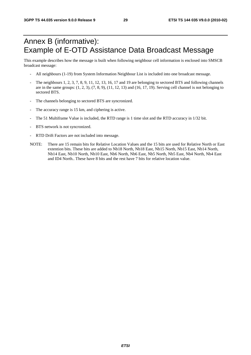# Annex B (informative): Example of E-OTD Assistance Data Broadcast Message

This example describes how the message is built when following neighbour cell information is enclosed into SMSCB broadcast message:

- All neighbours (1-19) from System Information Neighbour List is included into one broadcast message.
- The neighbours 1, 2, 3, 7, 8, 9, 11, 12, 13, 16, 17 and 19 are belonging to sectored BTS and following channels are in the same groups:  $(1, 2, 3)$ ,  $(7, 8, 9)$ ,  $(11, 12, 13)$  and  $(16, 17, 19)$ . Serving cell channel is not belonging to sectored BTS.
- The channels belonging to sectored BTS are syncronized.
- The accuracy range is 15 km, and ciphering is active.
- The 51 Multiframe Value is included, the RTD range is 1 time slot and the RTD accuracy in 1/32 bit.
- BTS network is not syncronized.
- RTD Drift Factors are not included into message.
- NOTE: There are 15 remain bits for Relative Location Values and the 15 bits are used for Relative North or East extention bits. These bits are added to Nb18 North, Nb18 East, Nb15 North, Nb15 East, Nb14 North, Nb14 East, Nb10 North, Nb10 East, Nb6 North, Nb6 East, Nb5 North, Nb5 East, Nb4 North, Nb4 East and ID4 North.. These have 8 bits and the rest have 7 bits for relative location value.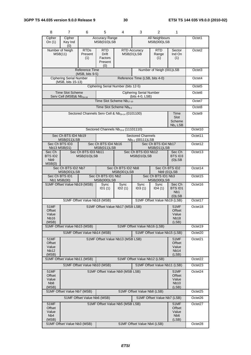| 8                                                            | $\overline{7}$                                                                                           | 6                                   | 5                                                                                    | 4                                                                  | 3                                                        | 2                                               | 1                                                         |                    |
|--------------------------------------------------------------|----------------------------------------------------------------------------------------------------------|-------------------------------------|--------------------------------------------------------------------------------------|--------------------------------------------------------------------|----------------------------------------------------------|-------------------------------------------------|-----------------------------------------------------------|--------------------|
| Cipher<br>On $(1)$                                           | Cipher<br><b>Accuracy Range</b><br>All Neighbours<br>MSB(010)LSB<br><b>MSB(000)LSB</b><br>Key Ind<br>(0) |                                     | Octet1                                                                               |                                                                    |                                                          |                                                 |                                                           |                    |
|                                                              | Number of Neigh<br><b>RTDs</b><br>MSB(11)<br>Present<br>(1)                                              |                                     | RTD<br><b>Drift</b><br>Factors<br>Present<br>(0)                                     |                                                                    | <b>RTD Accuracy</b><br>MSB(01)LSB                        | <b>RTD</b><br>Range<br>(1)                      | Sector<br>Ind On<br>(1)                                   | Octet <sub>2</sub> |
|                                                              |                                                                                                          | Reference Time<br>$(MSB, bits 9-5)$ |                                                                                      |                                                                    |                                                          | Number of Neigh (001)LSB                        |                                                           | Octet <sub>3</sub> |
|                                                              | <b>Ciphering Serial Number</b><br>(MSB, bits 15-13)                                                      |                                     |                                                                                      | Reference Time (LSB, bits 4-0)                                     |                                                          |                                                 |                                                           |                    |
|                                                              |                                                                                                          |                                     |                                                                                      | Ciphering Serial Number (bits 12-5)                                |                                                          |                                                 |                                                           | Octet <sub>5</sub> |
|                                                              | <b>Time Slot Scheme</b><br>Serv Cell (MSB)& Nb <sub>19-18</sub>                                          |                                     |                                                                                      |                                                                    | <b>Ciphering Serial Number</b><br>(bits 4-0, LSB)        |                                                 |                                                           | Octet <sub>6</sub> |
|                                                              |                                                                                                          |                                     | Time Slot Scheme Nb17-10                                                             | Octet7                                                             |                                                          |                                                 |                                                           |                    |
|                                                              |                                                                                                          |                                     |                                                                                      | Time Slot Scheme Nb <sub>9-2</sub>                                 |                                                          |                                                 |                                                           | Octet8             |
|                                                              |                                                                                                          |                                     |                                                                                      | Sectored Channels Serv Cell & Nb <sub>19-14</sub> (0101100)        |                                                          |                                                 | Time<br>Slot<br>Scheme<br>$Nb1$ LSB                       | Octet <sub>9</sub> |
|                                                              |                                                                                                          |                                     |                                                                                      | Sectored Channels Nb <sub>13-6</sub> (11101110)                    |                                                          |                                                 |                                                           | Octet10            |
|                                                              | Sec Ch BTS ID4 Nb19<br>MSB(011)LSB                                                                       |                                     |                                                                                      |                                                                    | <b>Sectored Channels</b><br>Nb <sub>5-1</sub> (00111)LSB |                                                 |                                                           | Octet11            |
|                                                              | Sec Ch BTS ID3<br>Nb13 MSB(01)                                                                           |                                     | Sec Ch BTS ID4 Nb16<br>MSB(011)LSB                                                   |                                                                    |                                                          | Sec Ch BTS ID4 Nb17<br>MSB(011)LSB              |                                                           | Octet12            |
| Sec Ch<br>BTS ID2<br>Nb <sub>9</sub><br>MSB(0)               | Sec Ch BTS ID3 Nb11<br>MSB(010)LSB                                                                       |                                     |                                                                                      |                                                                    | Sec Ch BTS ID3 Nb12<br>MSB(010)LSB                       |                                                 | Sec Ch<br>BTS ID3<br>$(0)$ LSB                            | Octet13            |
|                                                              | Sec Ch BTS ID2 Nb7<br>MSB(001)LSB                                                                        |                                     |                                                                                      | Sec Ch BTS ID2<br>Sec Ch BTS ID2 Nb8<br>MSB(001)LSB<br>Nb9 (01)LSB |                                                          |                                                 | Octet14                                                   |                    |
|                                                              | Sec Ch BTS ID1<br><b>Nb1 MSB(00)</b>                                                                     |                                     | Sec Ch BTS ID1 Nb2<br>Sec Ch BTS ID1 Nb3<br><b>MSB(000)LSB</b><br><b>MSB(000)LSB</b> |                                                                    |                                                          |                                                 | Octet15                                                   |                    |
|                                                              | 51MF Offset Value Nb19 (MSB)                                                                             |                                     |                                                                                      | Sync<br>ID2(1)                                                     | Sync<br>ID3(1)                                           | Sync<br>ID4(1)                                  | Sec Ch<br><b>BTS ID1</b><br>N <sub>b</sub> 1<br>$(0)$ LSB | Octet16            |
| 51MF Offset Value Nb18 (MSB)                                 |                                                                                                          |                                     |                                                                                      |                                                                    |                                                          | 51MF Offset Value Nb19 (LSB)                    |                                                           | Octet17            |
| <b>51MF</b><br>Offset<br>Value<br>Nb16<br>(MSB)              |                                                                                                          |                                     | 51MF Offset Value Nb17 (MSB LSB)<br>51MF<br>Offset<br>Value<br><b>Nb18</b><br>(LSB)  |                                                                    |                                                          |                                                 |                                                           | Octet18            |
|                                                              | 51MF Offset Value Nb15 (MSB)                                                                             |                                     | 51MF Offset Value Nb16 (LSB)                                                         |                                                                    |                                                          |                                                 |                                                           | Octet19            |
|                                                              |                                                                                                          | 51MF Offset Value Nb14 (MSB)        | 51MF Offset Value Nb15 (LSB)                                                         |                                                                    |                                                          |                                                 | Octet20                                                   |                    |
| 51MF<br>Offset<br>Value<br><b>Nb12</b><br>(MSB)              |                                                                                                          |                                     |                                                                                      | 51MF Offset Value Nb13 (MSB LSB)                                   |                                                          |                                                 | 51MF<br>Offset<br>Value<br>Nb <sub>14</sub><br>(LSB)      | Octet21            |
| 51MF Offset Value Nb11 (MSB)<br>51MF Offset Value Nb12 (LSB) |                                                                                                          |                                     |                                                                                      |                                                                    |                                                          | Octet22                                         |                                                           |                    |
|                                                              | 51MF Offset Value Nb10 (MSB)<br>51MF Offset Value Nb11 (LSB)                                             |                                     |                                                                                      |                                                                    |                                                          |                                                 | Octet23                                                   |                    |
| 51MF<br>Offset<br>Value<br>N <sub>b</sub> 8<br>(MSB)         | 51MF Offset Value Nb9 (MSB LSB)                                                                          |                                     |                                                                                      |                                                                    |                                                          | 51MF<br>Offset<br>Value<br><b>Nb10</b><br>(LSB) | Octet24                                                   |                    |
| 51MF Offset Value Nb7 (MSB)<br>51MF Offset Value Nb8 (LSB)   |                                                                                                          |                                     |                                                                                      |                                                                    |                                                          |                                                 |                                                           | Octet25            |
|                                                              |                                                                                                          | 51MF Offset Value Nb6 (MSB)         |                                                                                      |                                                                    |                                                          | 51MF Offset Value Nb7 (LSB)                     |                                                           | Octet26            |
| 51MF<br>Offset<br>Value<br>N <sub>b</sub> 4<br>(MSB)         |                                                                                                          |                                     |                                                                                      | 51MF Offset Value Nb5 (MSB LSB)                                    |                                                          |                                                 | 51MF<br>Offset<br>Value<br>N <sub>b</sub> 6<br>(LSB)      | Octet27            |
|                                                              | 51MF Offset Value Nb3 (MSB)                                                                              |                                     | 51MF Offset Value Nb4 (LSB)                                                          |                                                                    |                                                          |                                                 |                                                           | Octet28            |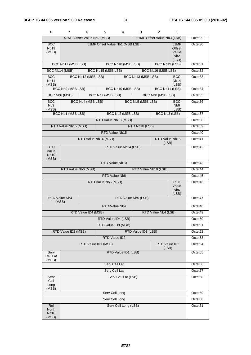| 8                                           | 7.                   | 6                           | 5                   | 4                               | 3                   | 2                           | 1                                                           |                     |
|---------------------------------------------|----------------------|-----------------------------|---------------------|---------------------------------|---------------------|-----------------------------|-------------------------------------------------------------|---------------------|
|                                             |                      | 51MF Offset Value Nb2 (MSB) |                     |                                 |                     | 51MF Offset Value Nb3 (LSB) |                                                             | Octet29             |
| <b>BCC</b><br><b>Nb19</b><br>(MSB)          |                      |                             |                     | 51MF Offset Value Nb1 (MSB LSB) |                     |                             | <b>51MF</b><br>Offset<br>Value<br>N <sub>b</sub> 2<br>(LSB) | Octet30             |
|                                             | BCC Nb17 (MSB LSB)   |                             |                     | BCC Nb18 (MSB LSB)              |                     |                             | BCC Nb19 (LSB)                                              | Octet31             |
|                                             | BCC Nb14 (MSB)       |                             | BCC Nb15 (MSB LSB)  |                                 |                     | BCC Nb16 (MSB LSB)          |                                                             | Octet32             |
| <b>BCC</b><br>Nb <sub>11</sub><br>(MSB)     |                      | BCC Nb12 (MSB LSB)          |                     |                                 | BCC Nb13 (MSB LSB)  |                             | <b>BCC</b><br>Nb14<br>(LSB)                                 | Octet <sub>33</sub> |
|                                             | BCC Nb9 (MSB LSB)    |                             |                     | BCC Nb10 (MSB LSB)              |                     |                             | BCC Nb11 (LSB)                                              | Octet34             |
|                                             | BCC Nb6 (MSB)        |                             | BCC Nb7 (MSB LSB)   |                                 |                     | BCC Nb8 (MSB LSB)           |                                                             | Octet <sub>35</sub> |
| <b>BCC</b><br>N <sub>b</sub> 3<br>(MSB)     |                      | BCC Nb4 (MSB LSB)           |                     |                                 | BCC Nb5 (MSB LSB)   |                             | <b>BCC</b><br>N <sub>b</sub> 6<br>(LSB)                     | Octet36             |
|                                             | BCC Nb1 (MSB LSB)    |                             |                     | BCC Nb2 (MSB LSB)               |                     |                             | BCC Nb3 (LSB)                                               | Octet37             |
|                                             |                      |                             |                     | RTD Value Nb18 (MSB)            |                     |                             |                                                             | Octet38             |
|                                             | RTD Value Nb15 (MSB) |                             |                     |                                 | RTD Nb18 (LSB)      |                             |                                                             | Octet39             |
|                                             |                      |                             |                     | RTD Value Nb15                  |                     |                             |                                                             | Octet <sub>40</sub> |
|                                             |                      | RTD Value Nb14 (MSB)        |                     |                                 |                     |                             | RTD Value Nb15<br>(LSB)                                     | Octet41             |
| <b>RTD</b><br>Value<br><b>Nb10</b><br>(MSB) |                      |                             |                     | RTD Value Nb14 (LSB)            |                     |                             |                                                             | Octet42             |
|                                             |                      |                             |                     | RTD Value Nb10                  |                     |                             |                                                             | Octet43             |
|                                             |                      | RTD Value Nb6 (MSB)         |                     |                                 |                     | RTD Value Nb10 (LSB)        |                                                             | Octet44             |
| RTD Value Nb6                               |                      |                             |                     |                                 |                     |                             | Octet45                                                     |                     |
|                                             |                      |                             | RTD Value Nb5 (MSB) |                                 |                     |                             | <b>RTD</b><br>Value<br>N <sub>b</sub> 6<br>(LSB)            | Octet46             |
| (MSB)                                       | RTD Value Nb4        |                             |                     |                                 | RTD Value Nb5 (LSB) |                             |                                                             | Octet47             |
|                                             |                      |                             |                     | RTD Value Nb4                   |                     |                             |                                                             | Octet48             |
|                                             |                      | RTD Value ID4 (MSB)         |                     |                                 |                     | RTD Value Nb4 (LSB)         |                                                             | Octet49             |
|                                             |                      |                             |                     | RTD Value ID4 (LSB)             |                     |                             |                                                             | Octet <sub>50</sub> |
|                                             |                      |                             |                     | RTD value ID3 (MSB)             |                     |                             |                                                             | Octet <sub>51</sub> |
|                                             | RTD Value ID2 (MSB)  |                             |                     |                                 | RTD Value ID3 (LSB) |                             |                                                             | Octet52             |
|                                             |                      |                             |                     | RTD Value ID2                   |                     |                             |                                                             | Octet53             |
|                                             |                      | RTD Value ID1 (MSB)         |                     |                                 |                     |                             | RTD Value ID2<br>(LSB)                                      | Octet54             |
| Serv<br>Cell Lat<br>(MSB)                   |                      |                             |                     | RTD Value ID1 (LSB)             |                     |                             |                                                             | Octet <sub>55</sub> |
| Serv Cell Lat                               |                      |                             |                     |                                 |                     |                             | Octet56                                                     |                     |
| Serv Cell Lat                               |                      |                             |                     |                                 |                     |                             | Octet57                                                     |                     |
| Serv<br>Cell<br>Long<br>(MSB)               |                      |                             |                     | Serv Cell Lat (LSB)             |                     |                             |                                                             | Octet58             |
|                                             |                      |                             |                     | Serv Cell Long                  |                     |                             |                                                             | Octet59             |
|                                             |                      |                             |                     | Serv Cell Long                  |                     |                             |                                                             | Octet60             |
| Rel<br>North<br>Nb <sub>18</sub><br>(MSB)   |                      |                             |                     | Serv Cell Long (LSB)            |                     |                             |                                                             | Octet61             |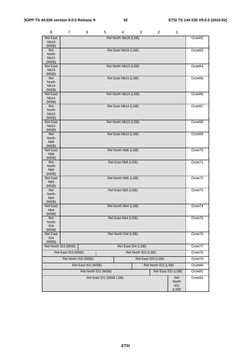| 8                                   | 7                                                                                      | 6 | 5                      | 4                    | 3                   | $\overline{2}$     | 1            |         |
|-------------------------------------|----------------------------------------------------------------------------------------|---|------------------------|----------------------|---------------------|--------------------|--------------|---------|
| <b>Rel East</b>                     |                                                                                        |   |                        | Rel North Nb18 (LSB) |                     |                    |              | Octet62 |
| <b>Nb18</b><br>(MSB)                |                                                                                        |   |                        |                      |                     |                    |              |         |
| Rel                                 |                                                                                        |   |                        | Rel East Nb18 (LSB)  |                     |                    |              | Octet63 |
| North                               |                                                                                        |   |                        |                      |                     |                    |              |         |
| <b>Nb15</b><br>(MSB)                |                                                                                        |   |                        |                      |                     |                    |              |         |
| <b>Rel East</b>                     |                                                                                        |   |                        | Rel North Nb15 (LSB) |                     |                    |              | Octet64 |
| <b>Nb15</b>                         |                                                                                        |   |                        |                      |                     |                    |              |         |
| (MSB)<br>Rel                        |                                                                                        |   |                        | Rel East Nb15 (LSB)  |                     |                    |              | Octet65 |
| <b>North</b>                        |                                                                                        |   |                        |                      |                     |                    |              |         |
| Nb <sub>14</sub><br>(MSB)           |                                                                                        |   |                        |                      |                     |                    |              |         |
| <b>Rel East</b>                     |                                                                                        |   |                        | Rel North Nb14 (LSB) |                     |                    |              | Octet66 |
| Nb <sub>14</sub>                    |                                                                                        |   |                        |                      |                     |                    |              |         |
| (MSB)<br>Rel                        |                                                                                        |   |                        | Rel East Nb14 (LSB)  |                     |                    |              | Octet67 |
| <b>North</b>                        |                                                                                        |   |                        |                      |                     |                    |              |         |
| <b>Nb10</b>                         |                                                                                        |   |                        |                      |                     |                    |              |         |
| (MSB)<br><b>Rel East</b>            |                                                                                        |   |                        | Rel North Nb10 (LSB) |                     |                    |              | Octet68 |
| <b>Nb10</b>                         |                                                                                        |   |                        |                      |                     |                    |              |         |
| (MSB)                               |                                                                                        |   |                        |                      |                     |                    |              |         |
| Rel<br>North                        |                                                                                        |   |                        | Rel East Nb10 (LSB)  |                     |                    |              | Octet69 |
| Nb <sub>6</sub>                     |                                                                                        |   |                        |                      |                     |                    |              |         |
| (MSB)                               |                                                                                        |   |                        | Rel North Nb6 (LSB)  |                     |                    |              |         |
| <b>Rel East</b><br>N <sub>b</sub> 6 |                                                                                        |   |                        |                      |                     |                    |              | Octet70 |
| (MSB)                               |                                                                                        |   |                        |                      |                     |                    |              |         |
| Rel<br>North                        |                                                                                        |   |                        | Rel East Nb6 (LSB)   |                     |                    |              | Octet71 |
| Nb <sub>5</sub>                     |                                                                                        |   |                        |                      |                     |                    |              |         |
| (MSB)                               |                                                                                        |   |                        |                      |                     |                    |              |         |
| <b>Rel East</b><br>N <sub>b5</sub>  |                                                                                        |   |                        | Rel North Nb5 (LSB)  |                     |                    |              | Octet72 |
| (MSB)                               |                                                                                        |   |                        |                      |                     |                    |              |         |
| Rel                                 |                                                                                        |   |                        | Rel East Nb5 (LSB)   |                     |                    |              | Octet73 |
| North<br>Nb <sub>4</sub>            |                                                                                        |   |                        |                      |                     |                    |              |         |
| (MSB)                               |                                                                                        |   |                        |                      |                     |                    |              |         |
| <b>Rel East</b><br>N <sub>b</sub> 4 |                                                                                        |   |                        | Rel North Nb4 (LSB)  |                     |                    |              | Octet74 |
| (MSB)                               |                                                                                        |   |                        |                      |                     |                    |              |         |
| Rel                                 |                                                                                        |   |                        | Rel East Nb4 (LSB)   |                     |                    |              | Octet75 |
| North<br>ID <sub>4</sub>            |                                                                                        |   |                        |                      |                     |                    |              |         |
| (MSB)                               |                                                                                        |   |                        |                      |                     |                    |              |         |
| Rel East                            |                                                                                        |   |                        | Rel North ID4 (LSB)  |                     |                    |              | Octet76 |
| ID <sub>4</sub><br>(MSB)            |                                                                                        |   |                        |                      |                     |                    |              |         |
|                                     | Rel North ID3 (MSB)                                                                    |   |                        |                      | Rel East ID4 (LSB)  |                    |              | Octet77 |
|                                     | Rel East ID3 (MSB)                                                                     |   |                        |                      | Rel North ID3 (LSB) |                    |              | Octet78 |
|                                     | Rel North ID2 (MSB)                                                                    |   |                        |                      |                     | Rel East ID3 (LSB) |              | Octet79 |
|                                     |                                                                                        |   |                        |                      |                     |                    |              | Octet80 |
|                                     | Rel East ID2 (MSB)<br>Rel North ID2 (LSB)<br>Rel East ID2 (LSB)<br>Rel North ID1 (MSB) |   |                        |                      |                     |                    |              | Octet81 |
|                                     |                                                                                        |   |                        |                      |                     |                    |              |         |
|                                     |                                                                                        |   | Rel East ID1 (MSB LSB) |                      |                     |                    | Rel<br>North | Octet82 |
|                                     |                                                                                        |   |                        |                      |                     |                    | ID1          |         |
|                                     |                                                                                        |   |                        |                      |                     |                    | (LSB)        |         |

*ETSI*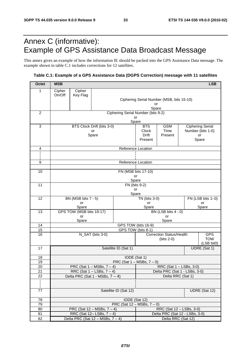# Annex C (informative): Example of GPS Assistance Data Broadcast Message

This annex gives an example of how the information IE should be packed into the GPS Assistance Data message. The example shown in table C.1 includes corrections for 12 satellites.

### **Table C.1: Example of a GPS Assistance Data (DGPS Correction) message with 11 satellites**

| Octet                 | <b>MSB</b>                             | <b>LSB</b>                                                         |                                  |                                                 |                                |                                                 |  |                          |
|-----------------------|----------------------------------------|--------------------------------------------------------------------|----------------------------------|-------------------------------------------------|--------------------------------|-------------------------------------------------|--|--------------------------|
| 1                     | Cipher                                 | Cipher                                                             |                                  |                                                 |                                |                                                 |  |                          |
|                       | On/Off                                 | Key Flag                                                           |                                  |                                                 |                                |                                                 |  |                          |
|                       |                                        |                                                                    |                                  | Ciphering Serial Number (MSB, bits 15-10)<br>or |                                |                                                 |  |                          |
|                       |                                        |                                                                    |                                  | Spare                                           |                                |                                                 |  |                          |
| 2                     |                                        | Ciphering Serial Number (bits 9-2)                                 |                                  |                                                 |                                |                                                 |  |                          |
|                       |                                        |                                                                    |                                  |                                                 | or<br>Spare                    |                                                 |  |                          |
| 3                     |                                        |                                                                    | BTS Clock Drift (bits 3-0)       |                                                 | <b>BTS</b>                     | <b>GSM</b>                                      |  | <b>Ciphering Serial</b>  |
|                       |                                        |                                                                    | or                               |                                                 | Clock                          | Time                                            |  | Number (bits 1-0)        |
|                       |                                        |                                                                    | Spare                            |                                                 | Drift<br>Present               | Present                                         |  | or                       |
|                       |                                        |                                                                    |                                  |                                                 |                                |                                                 |  | Spare                    |
| 4                     |                                        |                                                                    |                                  | Reference Location                              |                                |                                                 |  |                          |
|                       |                                        |                                                                    |                                  |                                                 |                                |                                                 |  |                          |
| 9                     |                                        |                                                                    |                                  | Reference Location                              |                                |                                                 |  |                          |
|                       |                                        |                                                                    |                                  |                                                 |                                |                                                 |  |                          |
| 10                    |                                        |                                                                    |                                  |                                                 | FN (MSB bits 17-10)            |                                                 |  |                          |
|                       |                                        |                                                                    |                                  | or<br>Spare                                     |                                |                                                 |  |                          |
| 11                    |                                        |                                                                    |                                  | FN (bits 9-2)                                   |                                |                                                 |  |                          |
|                       |                                        |                                                                    |                                  | or                                              |                                |                                                 |  |                          |
| 12                    |                                        | Spare<br>BN (MSB bits 7 - 5)<br>FN (LSB bits 1-0)<br>TN (bits 3-0) |                                  |                                                 |                                |                                                 |  |                          |
|                       |                                        | or                                                                 |                                  |                                                 | or                             |                                                 |  | or                       |
|                       |                                        | Spare                                                              |                                  |                                                 | Spare                          |                                                 |  | Spare                    |
| 13                    |                                        | GPS TOW (MSB bits 19-17)<br>or                                     |                                  |                                                 |                                | BN (LSB bits 4 - 0)<br>or                       |  |                          |
|                       | Spare                                  |                                                                    |                                  |                                                 |                                | Spare                                           |  |                          |
| 14                    | GPS TOW (bits 16-9)                    |                                                                    |                                  |                                                 |                                |                                                 |  |                          |
| 15                    | GPS TOW (bits 8-1)                     |                                                                    |                                  |                                                 |                                |                                                 |  |                          |
| 16                    | N_SAT (bits 3-0)                       |                                                                    |                                  |                                                 |                                | <b>Correction Status/Health</b><br>$(bits 2-0)$ |  | <b>GPS</b><br><b>TOW</b> |
|                       |                                        |                                                                    |                                  |                                                 |                                |                                                 |  | (LSB bit0)               |
| 17                    |                                        |                                                                    |                                  | Satellite ID (Sat 1)                            |                                |                                                 |  | UDRE (Sat 1)             |
| 18                    |                                        |                                                                    |                                  | IODE (Sat 1)                                    |                                |                                                 |  |                          |
| 19                    |                                        |                                                                    |                                  | PRC (Sat $1 - MSBs$ , $7 - 0$ )                 |                                |                                                 |  |                          |
| 20                    | PRC (Sat $1 - \text{MSBs}, 7 - 4$ )    |                                                                    |                                  |                                                 | RRC (Sat 1 - LSBs, 3-0)        |                                                 |  |                          |
| $\overline{21}$<br>22 |                                        |                                                                    | RRC (Sat $1 -$ LSBs, $7 - 4$ )   |                                                 | Delta PRC (Sat 1 - LSBs, 3-0)  |                                                 |  |                          |
| ł,                    |                                        | Delta RRC (Sat 1)<br>Delta PRC (Sat 1 - MSBs, $7 - 4$ )            |                                  |                                                 |                                |                                                 |  |                          |
| Ł                     |                                        |                                                                    |                                  |                                                 |                                |                                                 |  |                          |
| 77                    | Satellite ID (Sat 12)                  |                                                                    |                                  |                                                 |                                |                                                 |  | UDRE (Sat 12)            |
| 78                    |                                        |                                                                    |                                  | IODE (Sat 12)                                   |                                |                                                 |  |                          |
| 79                    |                                        |                                                                    |                                  | PRC (Sat $12 - MSBs$ , $7 - 0$ )                |                                |                                                 |  |                          |
| 80                    |                                        |                                                                    | PRC (Sat $12 - MSBs$ , $7 - 4$ ) |                                                 | RRC (Sat 12 - LSBs, 3-0)       |                                                 |  |                          |
| 81<br>82              |                                        |                                                                    | RRC (Sat $12 -$ LSBs, $7 - 4$ )  |                                                 | Delta PRC (Sat 12 - LSBs, 3-0) |                                                 |  |                          |
|                       | Delta PRC (Sat $12 - MSBs$ , $7 - 4$ ) |                                                                    |                                  |                                                 |                                | Delta RRC (Sat 12)                              |  |                          |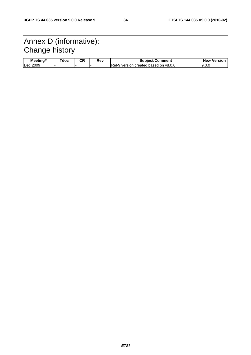# Annex D (informative): Change history

| Meetina#     | doc | חי<br>vn. | Rev | <b>Subiect/Comment</b>                      | Version<br><b>New</b> |
|--------------|-----|-----------|-----|---------------------------------------------|-----------------------|
| 2009<br>Dec. |     |           |     | IRel-9 version created<br>l based on v8.0.0 | 9.0.1                 |